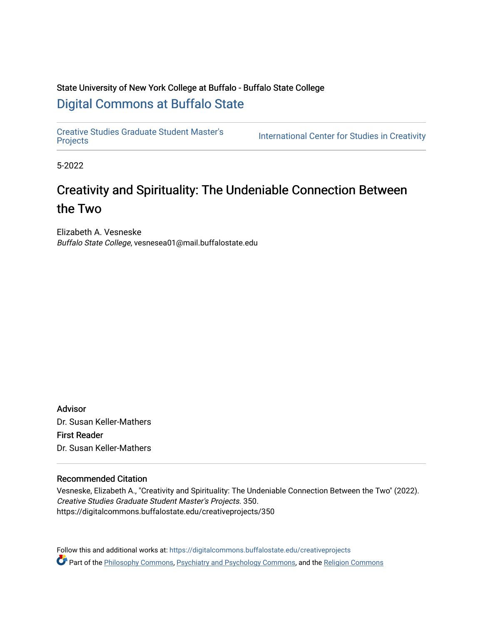# State University of New York College at Buffalo - Buffalo State College [Digital Commons at Buffalo State](https://digitalcommons.buffalostate.edu/)

[Creative Studies Graduate Student Master's](https://digitalcommons.buffalostate.edu/creativeprojects) 

International Center for Studies in Creativity

5-2022

# Creativity and Spirituality: The Undeniable Connection Between the Two

Elizabeth A. Vesneske Buffalo State College, vesnesea01@mail.buffalostate.edu

Advisor Dr. Susan Keller-Mathers First Reader Dr. Susan Keller-Mathers

# Recommended Citation

Vesneske, Elizabeth A., "Creativity and Spirituality: The Undeniable Connection Between the Two" (2022). Creative Studies Graduate Student Master's Projects. 350. https://digitalcommons.buffalostate.edu/creativeprojects/350

Follow this and additional works at: [https://digitalcommons.buffalostate.edu/creativeprojects](https://digitalcommons.buffalostate.edu/creativeprojects?utm_source=digitalcommons.buffalostate.edu%2Fcreativeprojects%2F350&utm_medium=PDF&utm_campaign=PDFCoverPages)  Part of the [Philosophy Commons,](https://network.bepress.com/hgg/discipline/525?utm_source=digitalcommons.buffalostate.edu%2Fcreativeprojects%2F350&utm_medium=PDF&utm_campaign=PDFCoverPages) [Psychiatry and Psychology Commons,](https://network.bepress.com/hgg/discipline/908?utm_source=digitalcommons.buffalostate.edu%2Fcreativeprojects%2F350&utm_medium=PDF&utm_campaign=PDFCoverPages) and the [Religion Commons](https://network.bepress.com/hgg/discipline/538?utm_source=digitalcommons.buffalostate.edu%2Fcreativeprojects%2F350&utm_medium=PDF&utm_campaign=PDFCoverPages)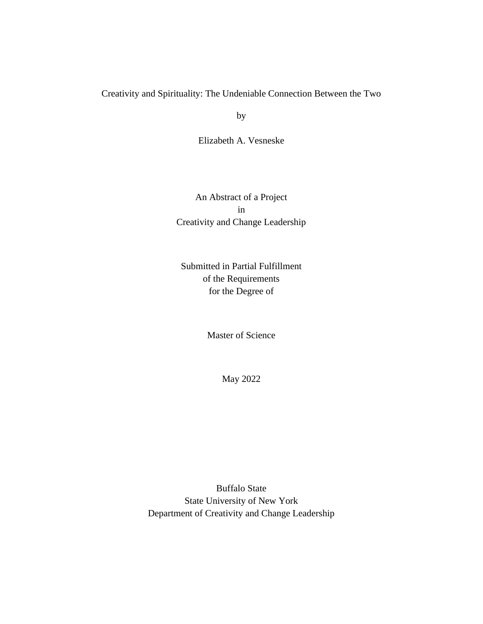# Creativity and Spirituality: The Undeniable Connection Between the Two

by

Elizabeth A. Vesneske

An Abstract of a Project in Creativity and Change Leadership

Submitted in Partial Fulfillment of the Requirements for the Degree of

Master of Science

May 2022

Buffalo State State University of New York Department of Creativity and Change Leadership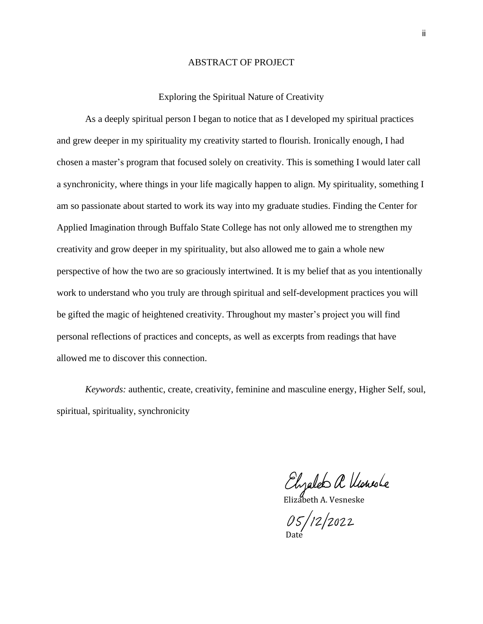## ABSTRACT OF PROJECT

#### Exploring the Spiritual Nature of Creativity

As a deeply spiritual person I began to notice that as I developed my spiritual practices and grew deeper in my spirituality my creativity started to flourish. Ironically enough, I had chosen a master's program that focused solely on creativity. This is something I would later call a synchronicity, where things in your life magically happen to align. My spirituality, something I am so passionate about started to work its way into my graduate studies. Finding the Center for Applied Imagination through Buffalo State College has not only allowed me to strengthen my creativity and grow deeper in my spirituality, but also allowed me to gain a whole new perspective of how the two are so graciously intertwined. It is my belief that as you intentionally work to understand who you truly are through spiritual and self-development practices you will be gifted the magic of heightened creativity. Throughout my master's project you will find personal reflections of practices and concepts, as well as excerpts from readings that have allowed me to discover this connection.

*Keywords:* authentic, create, creativity, feminine and masculine energy, Higher Self, soul, spiritual, spirituality, synchronicity

Elizabeth A Vlousle

 $05/12/2022$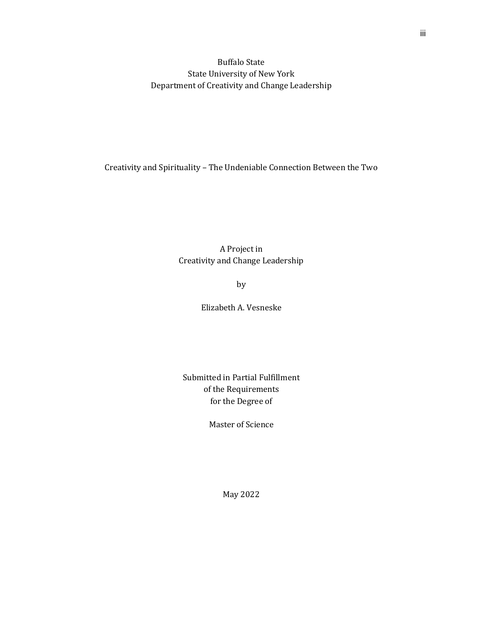Buffalo State State University of New York Department of Creativity and Change Leadership

Creativity and Spirituality – The Undeniable Connection Between the Two

A Project in Creativity and Change Leadership

by

Elizabeth A. Vesneske

Submitted in Partial Fulfillment of the Requirements for the Degree of

Master of Science

iii

May 2022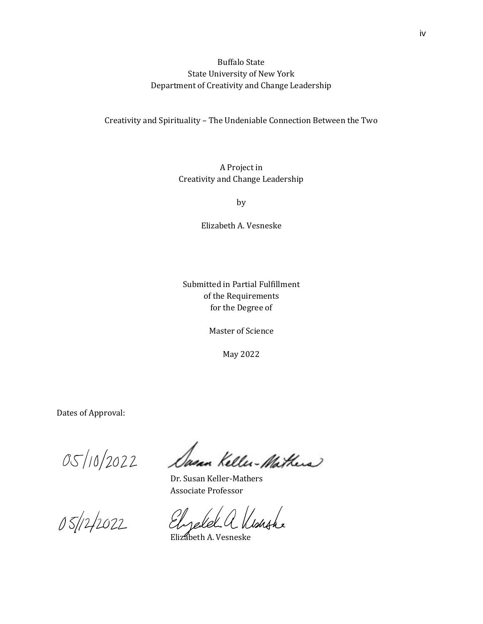Buffalo State State University of New York Department of Creativity and Change Leadership

Creativity and Spirituality – The Undeniable Connection Between the Two

A Project in Creativity and Change Leadership

by

Elizabeth A. Vesneske

Submitted in Partial Fulfillment of the Requirements for the Degree of

Master of Science

May 2022

Dates of Approval:

05/10/2022

05/12/2022

Dasan Keller-Mathers

Dr. Susan Keller-Mathers Associate Professor

Izald a Kisagha

Elizabeth A. Vesneske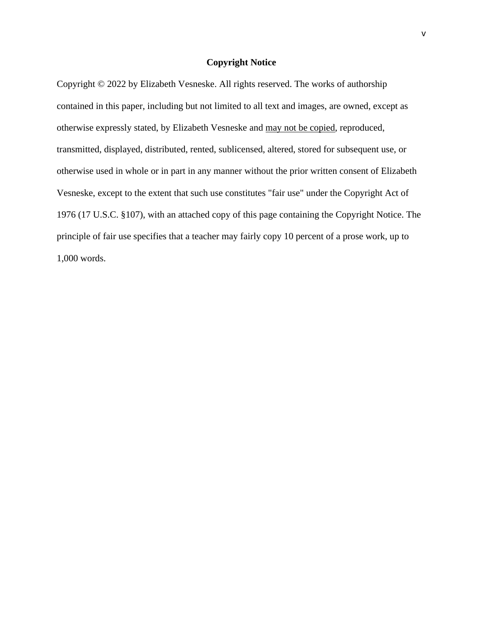## **Copyright Notice**

Copyright © 2022 by Elizabeth Vesneske. All rights reserved. The works of authorship contained in this paper, including but not limited to all text and images, are owned, except as otherwise expressly stated, by Elizabeth Vesneske and may not be copied, reproduced, transmitted, displayed, distributed, rented, sublicensed, altered, stored for subsequent use, or otherwise used in whole or in part in any manner without the prior written consent of Elizabeth Vesneske, except to the extent that such use constitutes "fair use" under the Copyright Act of 1976 (17 U.S.C. §107), with an attached copy of this page containing the Copyright Notice. The principle of fair use specifies that a teacher may fairly copy 10 percent of a prose work, up to 1,000 words.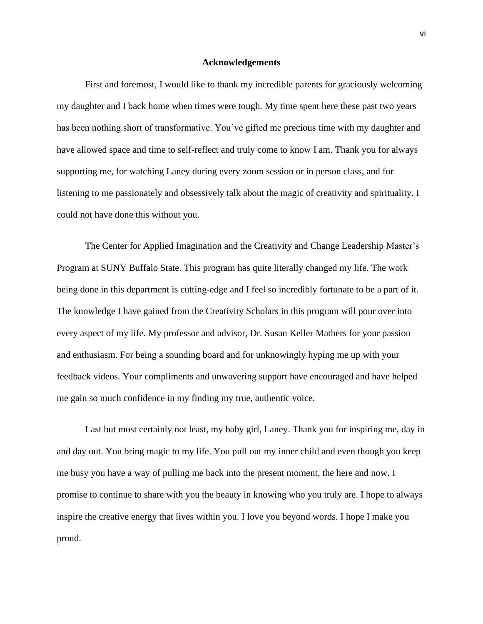#### **Acknowledgements**

First and foremost, I would like to thank my incredible parents for graciously welcoming my daughter and I back home when times were tough. My time spent here these past two years has been nothing short of transformative. You've gifted me precious time with my daughter and have allowed space and time to self-reflect and truly come to know I am. Thank you for always supporting me, for watching Laney during every zoom session or in person class, and for listening to me passionately and obsessively talk about the magic of creativity and spirituality. I could not have done this without you.

The Center for Applied Imagination and the Creativity and Change Leadership Master's Program at SUNY Buffalo State. This program has quite literally changed my life. The work being done in this department is cutting-edge and I feel so incredibly fortunate to be a part of it. The knowledge I have gained from the Creativity Scholars in this program will pour over into every aspect of my life. My professor and advisor, Dr. Susan Keller Mathers for your passion and enthusiasm. For being a sounding board and for unknowingly hyping me up with your feedback videos. Your compliments and unwavering support have encouraged and have helped me gain so much confidence in my finding my true, authentic voice.

Last but most certainly not least, my baby girl, Laney. Thank you for inspiring me, day in and day out. You bring magic to my life. You pull out my inner child and even though you keep me busy you have a way of pulling me back into the present moment, the here and now. I promise to continue to share with you the beauty in knowing who you truly are. I hope to always inspire the creative energy that lives within you. I love you beyond words. I hope I make you proud.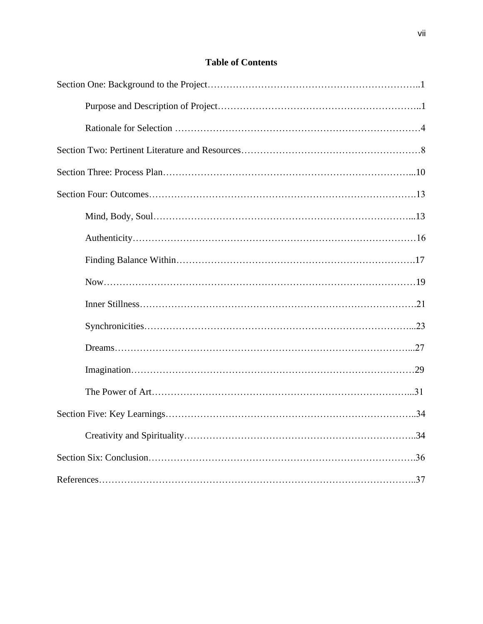# **Table of Contents**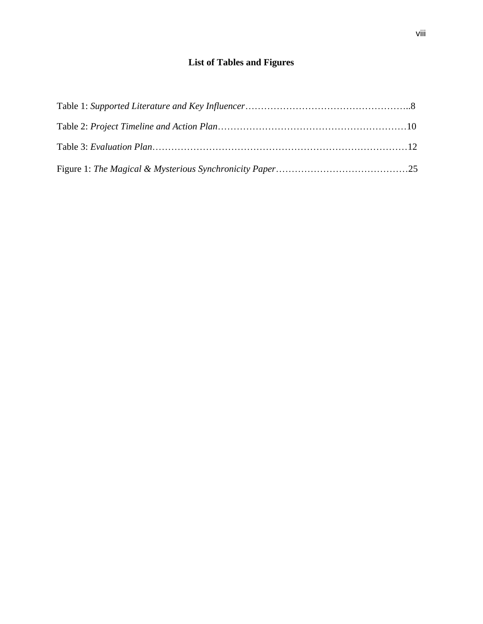# **List of Tables and Figures**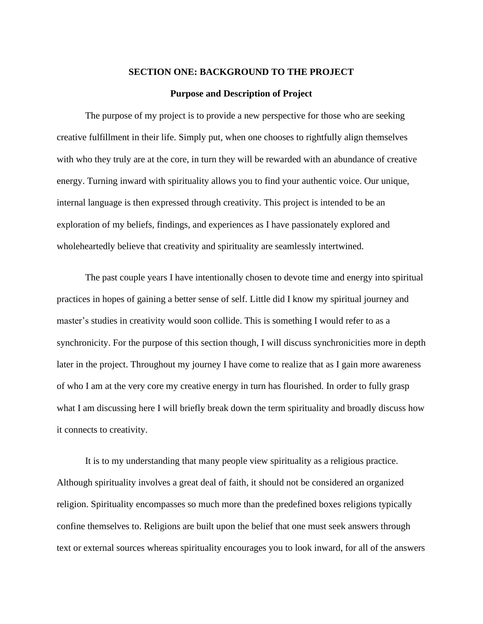#### **SECTION ONE: BACKGROUND TO THE PROJECT**

#### **Purpose and Description of Project**

The purpose of my project is to provide a new perspective for those who are seeking creative fulfillment in their life. Simply put, when one chooses to rightfully align themselves with who they truly are at the core, in turn they will be rewarded with an abundance of creative energy. Turning inward with spirituality allows you to find your authentic voice. Our unique, internal language is then expressed through creativity. This project is intended to be an exploration of my beliefs, findings, and experiences as I have passionately explored and wholeheartedly believe that creativity and spirituality are seamlessly intertwined.

The past couple years I have intentionally chosen to devote time and energy into spiritual practices in hopes of gaining a better sense of self. Little did I know my spiritual journey and master's studies in creativity would soon collide. This is something I would refer to as a synchronicity. For the purpose of this section though, I will discuss synchronicities more in depth later in the project. Throughout my journey I have come to realize that as I gain more awareness of who I am at the very core my creative energy in turn has flourished. In order to fully grasp what I am discussing here I will briefly break down the term spirituality and broadly discuss how it connects to creativity.

It is to my understanding that many people view spirituality as a religious practice. Although spirituality involves a great deal of faith, it should not be considered an organized religion. Spirituality encompasses so much more than the predefined boxes religions typically confine themselves to. Religions are built upon the belief that one must seek answers through text or external sources whereas spirituality encourages you to look inward, for all of the answers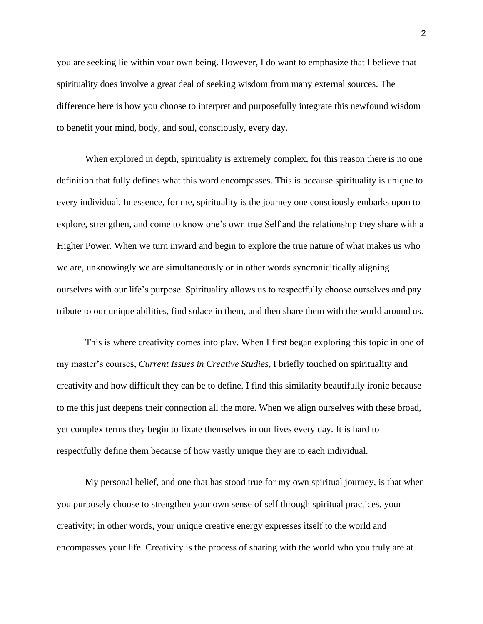you are seeking lie within your own being. However, I do want to emphasize that I believe that spirituality does involve a great deal of seeking wisdom from many external sources. The difference here is how you choose to interpret and purposefully integrate this newfound wisdom to benefit your mind, body, and soul, consciously, every day.

When explored in depth, spirituality is extremely complex, for this reason there is no one definition that fully defines what this word encompasses. This is because spirituality is unique to every individual. In essence, for me, spirituality is the journey one consciously embarks upon to explore, strengthen, and come to know one's own true Self and the relationship they share with a Higher Power. When we turn inward and begin to explore the true nature of what makes us who we are, unknowingly we are simultaneously or in other words syncronicitically aligning ourselves with our life's purpose. Spirituality allows us to respectfully choose ourselves and pay tribute to our unique abilities, find solace in them, and then share them with the world around us.

This is where creativity comes into play. When I first began exploring this topic in one of my master's courses, *Current Issues in Creative Studies*, I briefly touched on spirituality and creativity and how difficult they can be to define. I find this similarity beautifully ironic because to me this just deepens their connection all the more. When we align ourselves with these broad, yet complex terms they begin to fixate themselves in our lives every day. It is hard to respectfully define them because of how vastly unique they are to each individual.

My personal belief, and one that has stood true for my own spiritual journey, is that when you purposely choose to strengthen your own sense of self through spiritual practices, your creativity; in other words, your unique creative energy expresses itself to the world and encompasses your life. Creativity is the process of sharing with the world who you truly are at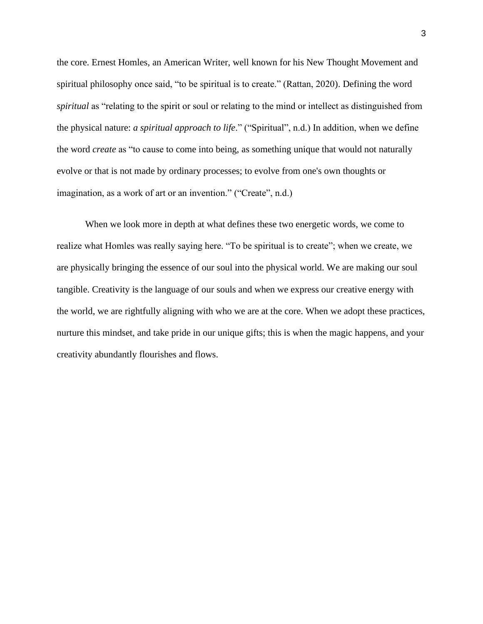the core. Ernest Homles, an American Writer, well known for his New Thought Movement and spiritual philosophy once said, "to be spiritual is to create." (Rattan, 2020). Defining the word *spiritual* as "relating to the spirit or soul or relating to the mind or intellect as distinguished from the physical nature: *a spiritual approach to life*." ("Spiritual", n.d.) In addition, when we define the word *create* as "to cause to come into being, as something unique that would not naturally evolve or that is not made by ordinary processes; to evolve from one's own thoughts or imagination, as a work of art or an invention." ("Create", n.d.)

When we look more in depth at what defines these two energetic words, we come to realize what Homles was really saying here. "To be spiritual is to create"; when we create, we are physically bringing the essence of our soul into the physical world. We are making our soul tangible. Creativity is the language of our souls and when we express our creative energy with the world, we are rightfully aligning with who we are at the core. When we adopt these practices, nurture this mindset, and take pride in our unique gifts; this is when the magic happens, and your creativity abundantly flourishes and flows.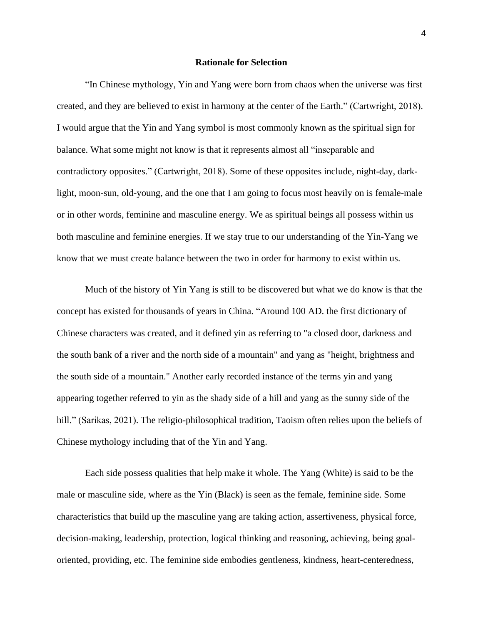#### **Rationale for Selection**

"In Chinese mythology, Yin and Yang were born from chaos when the universe was first created, and they are believed to exist in harmony at the center of the Earth." (Cartwright, 2018). I would argue that the Yin and Yang symbol is most commonly known as the spiritual sign for balance. What some might not know is that it represents almost all "inseparable and contradictory opposites." (Cartwright, 2018). Some of these opposites include, night-day, darklight, moon-sun, old-young, and the one that I am going to focus most heavily on is female-male or in other words, feminine and masculine energy. We as spiritual beings all possess within us both masculine and feminine energies. If we stay true to our understanding of the Yin-Yang we know that we must create balance between the two in order for harmony to exist within us.

Much of the history of Yin Yang is still to be discovered but what we do know is that the concept has existed for thousands of years in China. "Around 100 AD. the first dictionary of Chinese characters was created, and it defined yin as referring to "a closed door, darkness and the south bank of a river and the north side of a mountain" and yang as "height, brightness and the south side of a mountain." Another early recorded instance of the terms yin and yang appearing together referred to yin as the shady side of a hill and yang as the sunny side of the hill." (Sarikas, 2021). The religio-philosophical tradition, Taoism often relies upon the beliefs of Chinese mythology including that of the Yin and Yang.

Each side possess qualities that help make it whole. The Yang (White) is said to be the male or masculine side, where as the Yin (Black) is seen as the female, feminine side. Some characteristics that build up the masculine yang are taking action, assertiveness, physical force, decision-making, leadership, protection, logical thinking and reasoning, achieving, being goaloriented, providing, etc. The feminine side embodies gentleness, kindness, heart-centeredness,

4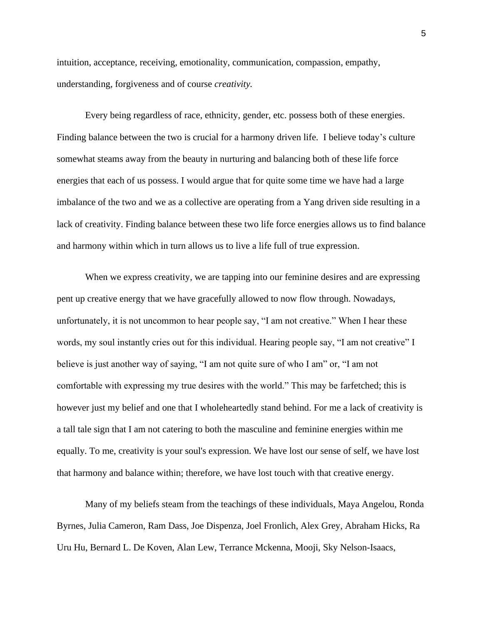intuition, acceptance, receiving, emotionality, communication, compassion, empathy, understanding, forgiveness and of course *creativity.*

Every being regardless of race, ethnicity, gender, etc. possess both of these energies. Finding balance between the two is crucial for a harmony driven life. I believe today's culture somewhat steams away from the beauty in nurturing and balancing both of these life force energies that each of us possess. I would argue that for quite some time we have had a large imbalance of the two and we as a collective are operating from a Yang driven side resulting in a lack of creativity. Finding balance between these two life force energies allows us to find balance and harmony within which in turn allows us to live a life full of true expression.

When we express creativity, we are tapping into our feminine desires and are expressing pent up creative energy that we have gracefully allowed to now flow through. Nowadays, unfortunately, it is not uncommon to hear people say, "I am not creative." When I hear these words, my soul instantly cries out for this individual. Hearing people say, "I am not creative" I believe is just another way of saying, "I am not quite sure of who I am" or, "I am not comfortable with expressing my true desires with the world." This may be farfetched; this is however just my belief and one that I wholeheartedly stand behind. For me a lack of creativity is a tall tale sign that I am not catering to both the masculine and feminine energies within me equally. To me, creativity is your soul's expression. We have lost our sense of self, we have lost that harmony and balance within; therefore, we have lost touch with that creative energy.

Many of my beliefs steam from the teachings of these individuals, Maya Angelou, Ronda Byrnes, Julia Cameron, Ram Dass, Joe Dispenza, Joel Fronlich, Alex Grey, Abraham Hicks, Ra Uru Hu, Bernard L. De Koven, Alan Lew, Terrance Mckenna, Mooji, Sky Nelson-Isaacs,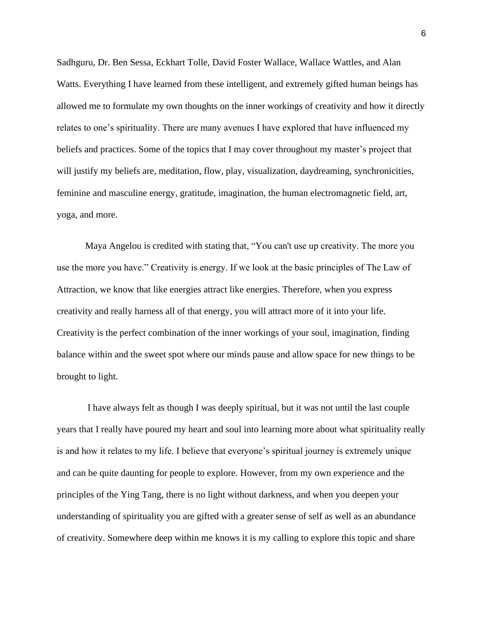Sadhguru, Dr. Ben Sessa, Eckhart Tolle, David Foster Wallace, Wallace Wattles, and Alan Watts. Everything I have learned from these intelligent, and extremely gifted human beings has allowed me to formulate my own thoughts on the inner workings of creativity and how it directly relates to one's spirituality. There are many avenues I have explored that have influenced my beliefs and practices. Some of the topics that I may cover throughout my master's project that will justify my beliefs are, meditation, flow, play, visualization, daydreaming, synchronicities, feminine and masculine energy, gratitude, imagination, the human electromagnetic field, art, yoga, and more.

Maya Angelou is credited with stating that, "You can't use up creativity. The more you use the more you have." Creativity is energy. If we look at the basic principles of The Law of Attraction, we know that like energies attract like energies. Therefore, when you express creativity and really harness all of that energy, you will attract more of it into your life. Creativity is the perfect combination of the inner workings of your soul, imagination, finding balance within and the sweet spot where our minds pause and allow space for new things to be brought to light.

I have always felt as though I was deeply spiritual, but it was not until the last couple years that I really have poured my heart and soul into learning more about what spirituality really is and how it relates to my life. I believe that everyone's spiritual journey is extremely unique and can be quite daunting for people to explore. However, from my own experience and the principles of the Ying Tang, there is no light without darkness, and when you deepen your understanding of spirituality you are gifted with a greater sense of self as well as an abundance of creativity. Somewhere deep within me knows it is my calling to explore this topic and share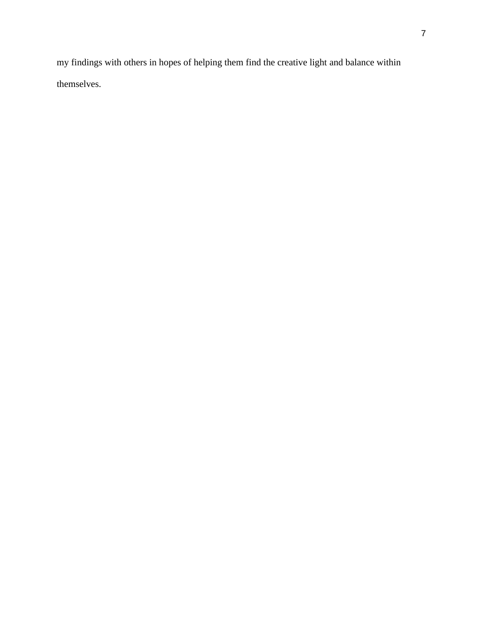my findings with others in hopes of helping them find the creative light and balance within themselves.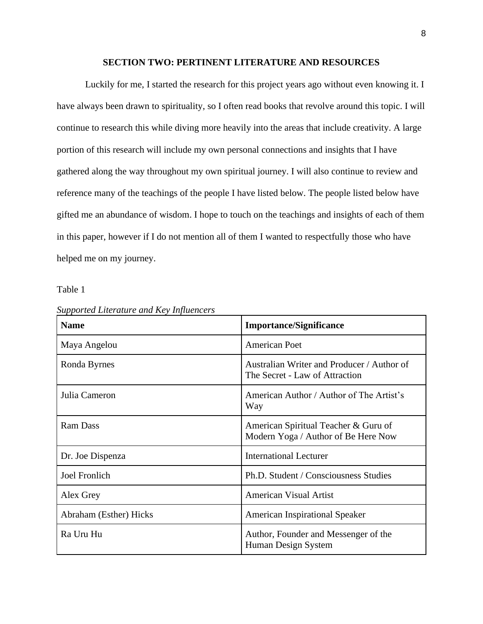## **SECTION TWO: PERTINENT LITERATURE AND RESOURCES**

Luckily for me, I started the research for this project years ago without even knowing it. I have always been drawn to spirituality, so I often read books that revolve around this topic. I will continue to research this while diving more heavily into the areas that include creativity. A large portion of this research will include my own personal connections and insights that I have gathered along the way throughout my own spiritual journey. I will also continue to review and reference many of the teachings of the people I have listed below. The people listed below have gifted me an abundance of wisdom. I hope to touch on the teachings and insights of each of them in this paper, however if I do not mention all of them I wanted to respectfully those who have helped me on my journey.

Table 1

| <b>Name</b>            | <b>Importance/Significance</b>                                               |
|------------------------|------------------------------------------------------------------------------|
| Maya Angelou           | <b>American Poet</b>                                                         |
| Ronda Byrnes           | Australian Writer and Producer / Author of<br>The Secret - Law of Attraction |
| Julia Cameron          | American Author / Author of The Artist's<br>Way                              |
| <b>Ram Dass</b>        | American Spiritual Teacher & Guru of<br>Modern Yoga / Author of Be Here Now  |
| Dr. Joe Dispenza       | <b>International Lecturer</b>                                                |
| <b>Joel Fronlich</b>   | Ph.D. Student / Consciousness Studies                                        |
| Alex Grey              | <b>American Visual Artist</b>                                                |
| Abraham (Esther) Hicks | <b>American Inspirational Speaker</b>                                        |
| Ra Uru Hu              | Author, Founder and Messenger of the<br>Human Design System                  |

*Supported Literature and Key Influencers*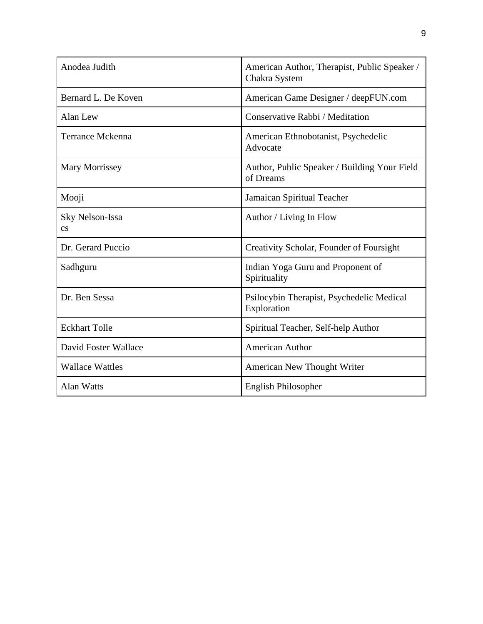| Anodea Judith                             | American Author, Therapist, Public Speaker /<br>Chakra System |
|-------------------------------------------|---------------------------------------------------------------|
| Bernard L. De Koven                       | American Game Designer / deepFUN.com                          |
| Alan Lew                                  | Conservative Rabbi / Meditation                               |
| <b>Terrance Mckenna</b>                   | American Ethnobotanist, Psychedelic<br>Advocate               |
| <b>Mary Morrissey</b>                     | Author, Public Speaker / Building Your Field<br>of Dreams     |
| Mooji                                     | Jamaican Spiritual Teacher                                    |
| Sky Nelson-Issa<br>$\mathbf{c}\mathbf{s}$ | Author / Living In Flow                                       |
| Dr. Gerard Puccio                         | Creativity Scholar, Founder of Foursight                      |
| Sadhguru                                  | Indian Yoga Guru and Proponent of<br>Spirituality             |
| Dr. Ben Sessa                             | Psilocybin Therapist, Psychedelic Medical<br>Exploration      |
| <b>Eckhart Tolle</b>                      | Spiritual Teacher, Self-help Author                           |
| David Foster Wallace                      | <b>American Author</b>                                        |
| <b>Wallace Wattles</b>                    | American New Thought Writer                                   |
| <b>Alan Watts</b>                         | English Philosopher                                           |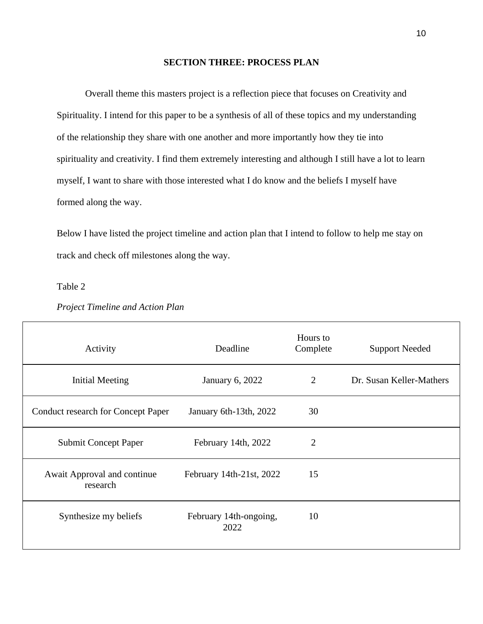# **SECTION THREE: PROCESS PLAN**

Overall theme this masters project is a reflection piece that focuses on Creativity and Spirituality. I intend for this paper to be a synthesis of all of these topics and my understanding of the relationship they share with one another and more importantly how they tie into spirituality and creativity. I find them extremely interesting and although I still have a lot to learn myself, I want to share with those interested what I do know and the beliefs I myself have formed along the way.

Below I have listed the project timeline and action plan that I intend to follow to help me stay on track and check off milestones along the way.

Table 2

 $\Gamma$ 

| Activity                                  | Deadline                       | Hours to<br>Complete | <b>Support Needed</b>    |
|-------------------------------------------|--------------------------------|----------------------|--------------------------|
| Initial Meeting                           | <b>January 6, 2022</b>         | $\overline{2}$       | Dr. Susan Keller-Mathers |
| <b>Conduct research for Concept Paper</b> | January 6th-13th, 2022         | 30                   |                          |
| <b>Submit Concept Paper</b>               | February 14th, 2022            | $\overline{2}$       |                          |
| Await Approval and continue<br>research   | February 14th-21st, 2022       | 15                   |                          |
| Synthesize my beliefs                     | February 14th-ongoing,<br>2022 | 10                   |                          |

# *Project Timeline and Action Plan*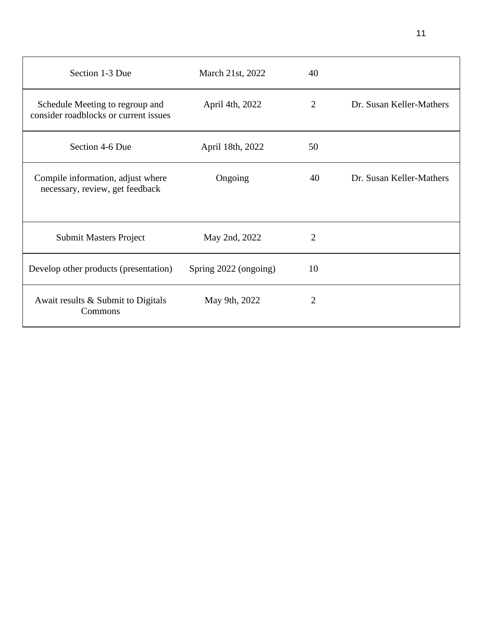| Section 1-3 Due                                                          | March 21st, 2022      | 40             |                          |
|--------------------------------------------------------------------------|-----------------------|----------------|--------------------------|
| Schedule Meeting to regroup and<br>consider roadblocks or current issues | April 4th, 2022       | 2              | Dr. Susan Keller-Mathers |
| Section 4-6 Due                                                          | April 18th, 2022      | 50             |                          |
| Compile information, adjust where<br>necessary, review, get feedback     | Ongoing               | 40             | Dr. Susan Keller-Mathers |
| <b>Submit Masters Project</b>                                            | May 2nd, 2022         | $\overline{2}$ |                          |
| Develop other products (presentation)                                    | Spring 2022 (ongoing) | 10             |                          |
| Await results & Submit to Digitals<br>Commons                            | May 9th, 2022         | $\overline{2}$ |                          |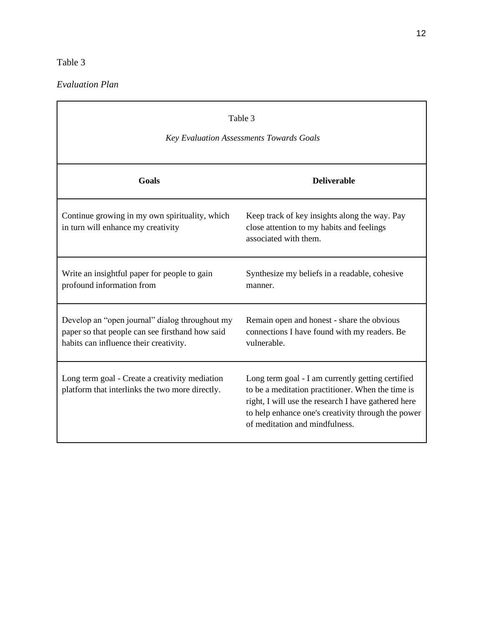# Table 3

*Evaluation Plan*

| Table 3<br><b>Key Evaluation Assessments Towards Goals</b>                                                                                  |                                                                                                                                                                                                                                                       |  |  |
|---------------------------------------------------------------------------------------------------------------------------------------------|-------------------------------------------------------------------------------------------------------------------------------------------------------------------------------------------------------------------------------------------------------|--|--|
| Goals                                                                                                                                       | <b>Deliverable</b>                                                                                                                                                                                                                                    |  |  |
| Continue growing in my own spirituality, which<br>in turn will enhance my creativity                                                        | Keep track of key insights along the way. Pay<br>close attention to my habits and feelings<br>associated with them.                                                                                                                                   |  |  |
| Write an insightful paper for people to gain<br>profound information from                                                                   | Synthesize my beliefs in a readable, cohesive<br>manner.                                                                                                                                                                                              |  |  |
| Develop an "open journal" dialog throughout my<br>paper so that people can see firsthand how said<br>habits can influence their creativity. | Remain open and honest - share the obvious<br>connections I have found with my readers. Be<br>vulnerable.                                                                                                                                             |  |  |
| Long term goal - Create a creativity mediation<br>platform that interlinks the two more directly.                                           | Long term goal - I am currently getting certified<br>to be a meditation practitioner. When the time is<br>right, I will use the research I have gathered here<br>to help enhance one's creativity through the power<br>of meditation and mindfulness. |  |  |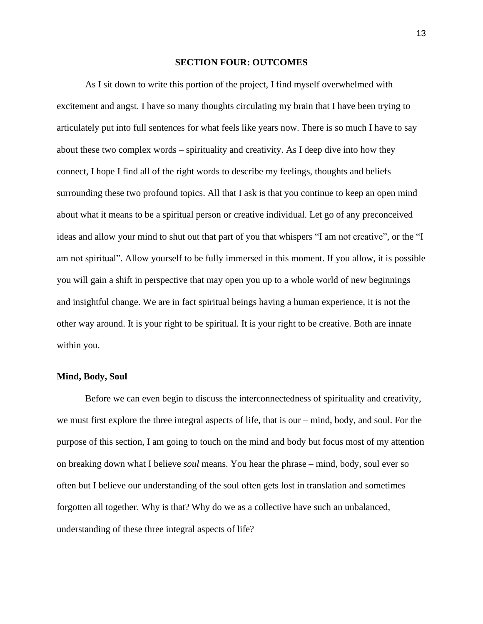#### **SECTION FOUR: OUTCOMES**

As I sit down to write this portion of the project, I find myself overwhelmed with excitement and angst. I have so many thoughts circulating my brain that I have been trying to articulately put into full sentences for what feels like years now. There is so much I have to say about these two complex words – spirituality and creativity. As I deep dive into how they connect, I hope I find all of the right words to describe my feelings, thoughts and beliefs surrounding these two profound topics. All that I ask is that you continue to keep an open mind about what it means to be a spiritual person or creative individual. Let go of any preconceived ideas and allow your mind to shut out that part of you that whispers "I am not creative", or the "I am not spiritual". Allow yourself to be fully immersed in this moment. If you allow, it is possible you will gain a shift in perspective that may open you up to a whole world of new beginnings and insightful change. We are in fact spiritual beings having a human experience, it is not the other way around. It is your right to be spiritual. It is your right to be creative. Both are innate within you.

## **Mind, Body, Soul**

Before we can even begin to discuss the interconnectedness of spirituality and creativity, we must first explore the three integral aspects of life, that is our – mind, body, and soul. For the purpose of this section, I am going to touch on the mind and body but focus most of my attention on breaking down what I believe *soul* means. You hear the phrase – mind, body, soul ever so often but I believe our understanding of the soul often gets lost in translation and sometimes forgotten all together. Why is that? Why do we as a collective have such an unbalanced, understanding of these three integral aspects of life?

13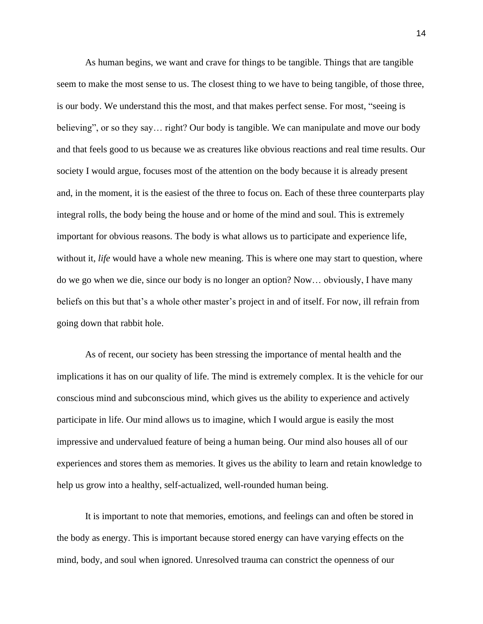As human begins, we want and crave for things to be tangible. Things that are tangible seem to make the most sense to us. The closest thing to we have to being tangible, of those three, is our body. We understand this the most, and that makes perfect sense. For most, "seeing is believing", or so they say... right? Our body is tangible. We can manipulate and move our body and that feels good to us because we as creatures like obvious reactions and real time results. Our society I would argue, focuses most of the attention on the body because it is already present and, in the moment, it is the easiest of the three to focus on. Each of these three counterparts play integral rolls, the body being the house and or home of the mind and soul. This is extremely important for obvious reasons. The body is what allows us to participate and experience life, without it, *life* would have a whole new meaning. This is where one may start to question, where do we go when we die, since our body is no longer an option? Now… obviously, I have many beliefs on this but that's a whole other master's project in and of itself. For now, ill refrain from going down that rabbit hole.

As of recent, our society has been stressing the importance of mental health and the implications it has on our quality of life. The mind is extremely complex. It is the vehicle for our conscious mind and subconscious mind, which gives us the ability to experience and actively participate in life. Our mind allows us to imagine, which I would argue is easily the most impressive and undervalued feature of being a human being. Our mind also houses all of our experiences and stores them as memories. It gives us the ability to learn and retain knowledge to help us grow into a healthy, self-actualized, well-rounded human being.

It is important to note that memories, emotions, and feelings can and often be stored in the body as energy. This is important because stored energy can have varying effects on the mind, body, and soul when ignored. Unresolved trauma can constrict the openness of our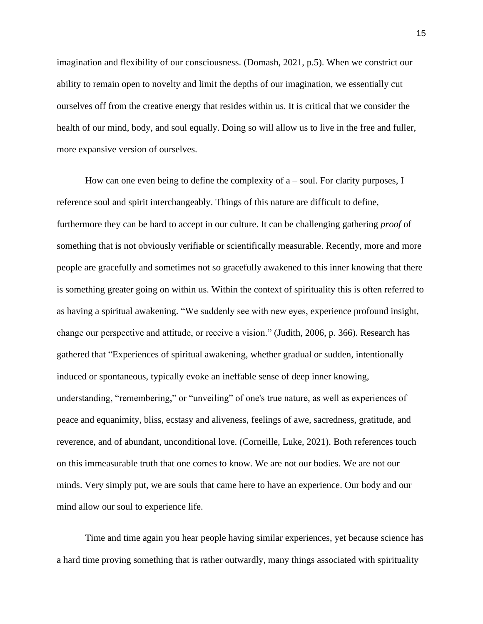imagination and flexibility of our consciousness. (Domash, 2021, p.5). When we constrict our ability to remain open to novelty and limit the depths of our imagination, we essentially cut ourselves off from the creative energy that resides within us. It is critical that we consider the health of our mind, body, and soul equally. Doing so will allow us to live in the free and fuller, more expansive version of ourselves.

How can one even being to define the complexity of  $a$  – soul. For clarity purposes, I reference soul and spirit interchangeably. Things of this nature are difficult to define, furthermore they can be hard to accept in our culture. It can be challenging gathering *proof* of something that is not obviously verifiable or scientifically measurable. Recently, more and more people are gracefully and sometimes not so gracefully awakened to this inner knowing that there is something greater going on within us. Within the context of spirituality this is often referred to as having a spiritual awakening. "We suddenly see with new eyes, experience profound insight, change our perspective and attitude, or receive a vision." (Judith, 2006, p. 366). Research has gathered that "Experiences of spiritual awakening, whether gradual or sudden, intentionally induced or spontaneous, typically evoke an ineffable sense of deep inner knowing, understanding, "remembering," or "unveiling" of one's true nature, as well as experiences of peace and equanimity, bliss, ecstasy and aliveness, feelings of awe, sacredness, gratitude, and reverence, and of abundant, unconditional love. (Corneille, Luke, 2021). Both references touch on this immeasurable truth that one comes to know. We are not our bodies. We are not our minds. Very simply put, we are souls that came here to have an experience. Our body and our mind allow our soul to experience life.

Time and time again you hear people having similar experiences, yet because science has a hard time proving something that is rather outwardly, many things associated with spirituality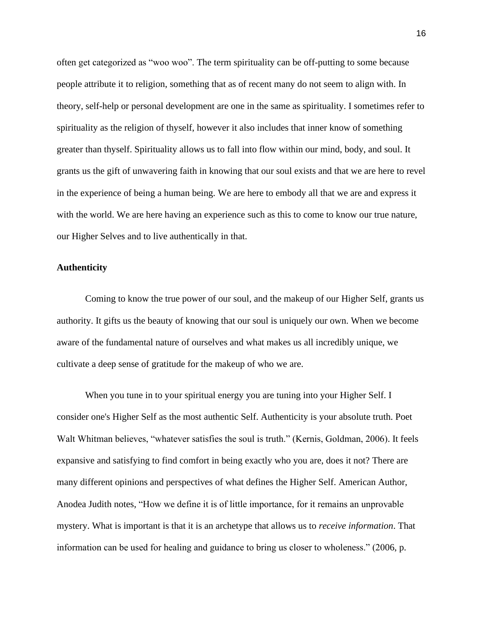often get categorized as "woo woo". The term spirituality can be off-putting to some because people attribute it to religion, something that as of recent many do not seem to align with. In theory, self-help or personal development are one in the same as spirituality. I sometimes refer to spirituality as the religion of thyself, however it also includes that inner know of something greater than thyself. Spirituality allows us to fall into flow within our mind, body, and soul. It grants us the gift of unwavering faith in knowing that our soul exists and that we are here to revel in the experience of being a human being. We are here to embody all that we are and express it with the world. We are here having an experience such as this to come to know our true nature, our Higher Selves and to live authentically in that.

#### **Authenticity**

Coming to know the true power of our soul, and the makeup of our Higher Self, grants us authority. It gifts us the beauty of knowing that our soul is uniquely our own. When we become aware of the fundamental nature of ourselves and what makes us all incredibly unique, we cultivate a deep sense of gratitude for the makeup of who we are.

When you tune in to your spiritual energy you are tuning into your Higher Self. I consider one's Higher Self as the most authentic Self. Authenticity is your absolute truth. Poet Walt Whitman believes, "whatever satisfies the soul is truth." (Kernis, Goldman, 2006). It feels expansive and satisfying to find comfort in being exactly who you are, does it not? There are many different opinions and perspectives of what defines the Higher Self. American Author, Anodea Judith notes, "How we define it is of little importance, for it remains an unprovable mystery. What is important is that it is an archetype that allows us to *receive information*. That information can be used for healing and guidance to bring us closer to wholeness." (2006, p.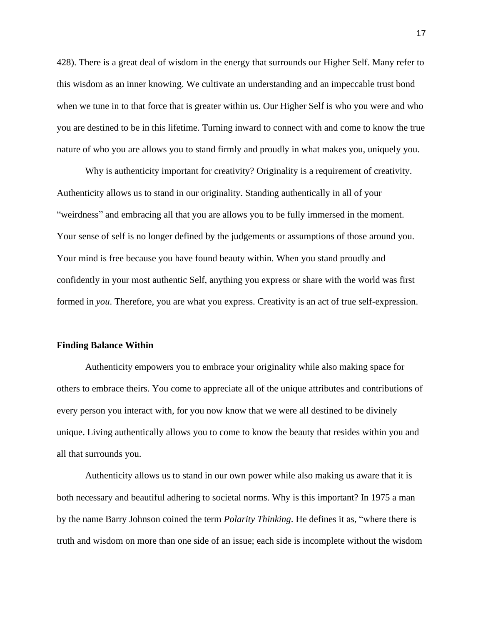428). There is a great deal of wisdom in the energy that surrounds our Higher Self. Many refer to this wisdom as an inner knowing. We cultivate an understanding and an impeccable trust bond when we tune in to that force that is greater within us. Our Higher Self is who you were and who you are destined to be in this lifetime. Turning inward to connect with and come to know the true nature of who you are allows you to stand firmly and proudly in what makes you, uniquely you.

Why is authenticity important for creativity? Originality is a requirement of creativity. Authenticity allows us to stand in our originality. Standing authentically in all of your "weirdness" and embracing all that you are allows you to be fully immersed in the moment. Your sense of self is no longer defined by the judgements or assumptions of those around you. Your mind is free because you have found beauty within. When you stand proudly and confidently in your most authentic Self, anything you express or share with the world was first formed in *you*. Therefore, you are what you express. Creativity is an act of true self-expression.

#### **Finding Balance Within**

Authenticity empowers you to embrace your originality while also making space for others to embrace theirs. You come to appreciate all of the unique attributes and contributions of every person you interact with, for you now know that we were all destined to be divinely unique. Living authentically allows you to come to know the beauty that resides within you and all that surrounds you.

Authenticity allows us to stand in our own power while also making us aware that it is both necessary and beautiful adhering to societal norms. Why is this important? In 1975 a man by the name Barry Johnson coined the term *Polarity Thinking*. He defines it as, "where there is truth and wisdom on more than one side of an issue; each side is incomplete without the wisdom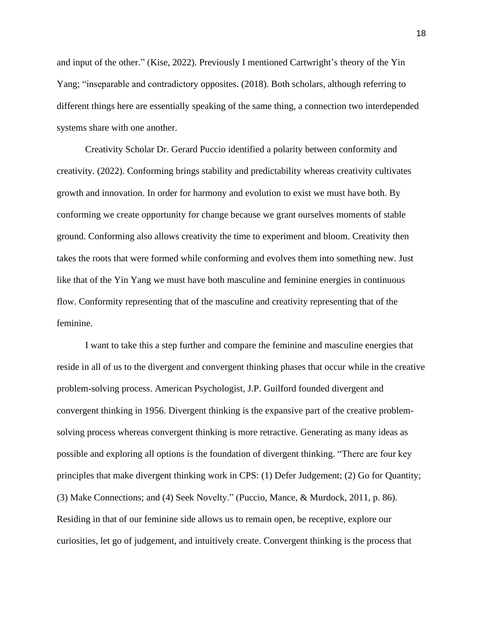and input of the other." (Kise, 2022). Previously I mentioned Cartwright's theory of the Yin Yang; "inseparable and contradictory opposites. (2018). Both scholars, although referring to different things here are essentially speaking of the same thing, a connection two interdepended systems share with one another.

Creativity Scholar Dr. Gerard Puccio identified a polarity between conformity and creativity. (2022). Conforming brings stability and predictability whereas creativity cultivates growth and innovation. In order for harmony and evolution to exist we must have both. By conforming we create opportunity for change because we grant ourselves moments of stable ground. Conforming also allows creativity the time to experiment and bloom. Creativity then takes the roots that were formed while conforming and evolves them into something new. Just like that of the Yin Yang we must have both masculine and feminine energies in continuous flow. Conformity representing that of the masculine and creativity representing that of the feminine.

I want to take this a step further and compare the feminine and masculine energies that reside in all of us to the divergent and convergent thinking phases that occur while in the creative problem-solving process. American Psychologist, J.P. Guilford founded divergent and convergent thinking in 1956. Divergent thinking is the expansive part of the creative problemsolving process whereas convergent thinking is more retractive. Generating as many ideas as possible and exploring all options is the foundation of divergent thinking. "There are four key principles that make divergent thinking work in CPS: (1) Defer Judgement; (2) Go for Quantity; (3) Make Connections; and (4) Seek Novelty." (Puccio, Mance, & Murdock, 2011, p. 86). Residing in that of our feminine side allows us to remain open, be receptive, explore our curiosities, let go of judgement, and intuitively create. Convergent thinking is the process that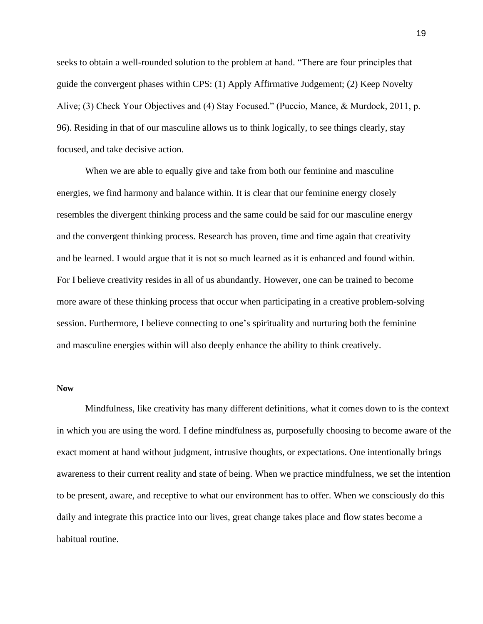seeks to obtain a well-rounded solution to the problem at hand. "There are four principles that guide the convergent phases within CPS: (1) Apply Affirmative Judgement; (2) Keep Novelty Alive; (3) Check Your Objectives and (4) Stay Focused." (Puccio, Mance, & Murdock, 2011, p. 96). Residing in that of our masculine allows us to think logically, to see things clearly, stay focused, and take decisive action.

When we are able to equally give and take from both our feminine and masculine energies, we find harmony and balance within. It is clear that our feminine energy closely resembles the divergent thinking process and the same could be said for our masculine energy and the convergent thinking process. Research has proven, time and time again that creativity and be learned. I would argue that it is not so much learned as it is enhanced and found within. For I believe creativity resides in all of us abundantly. However, one can be trained to become more aware of these thinking process that occur when participating in a creative problem-solving session. Furthermore, I believe connecting to one's spirituality and nurturing both the feminine and masculine energies within will also deeply enhance the ability to think creatively.

#### **Now**

Mindfulness, like creativity has many different definitions, what it comes down to is the context in which you are using the word. I define mindfulness as, purposefully choosing to become aware of the exact moment at hand without judgment, intrusive thoughts, or expectations. One intentionally brings awareness to their current reality and state of being. When we practice mindfulness, we set the intention to be present, aware, and receptive to what our environment has to offer. When we consciously do this daily and integrate this practice into our lives, great change takes place and flow states become a habitual routine.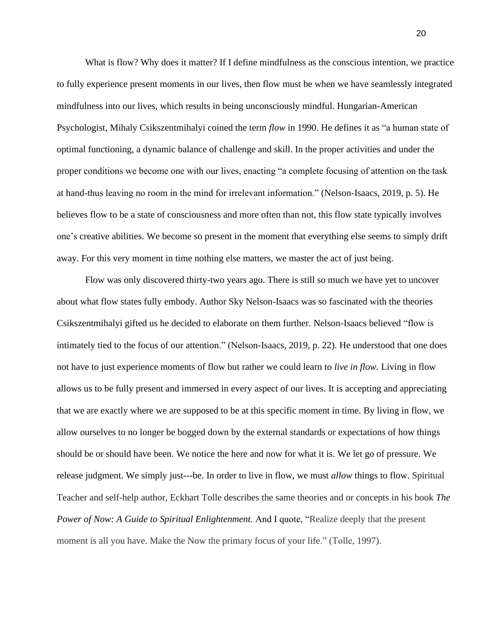What is flow? Why does it matter? If I define mindfulness as the conscious intention, we practice to fully experience present moments in our lives, then flow must be when we have seamlessly integrated mindfulness into our lives, which results in being unconsciously mindful. Hungarian-American Psychologist, Mihaly Csikszentmihalyi coined the term *flow* in 1990. He defines it as "a human state of optimal functioning, a dynamic balance of challenge and skill. In the proper activities and under the proper conditions we become one with our lives, enacting "a complete focusing of attention on the task at hand-thus leaving no room in the mind for irrelevant information." (Nelson-Isaacs, 2019, p. 5). He believes flow to be a state of consciousness and more often than not, this flow state typically involves one's creative abilities. We become so present in the moment that everything else seems to simply drift away. For this very moment in time nothing else matters, we master the act of just being.

Flow was only discovered thirty-two years ago. There is still so much we have yet to uncover about what flow states fully embody. Author Sky Nelson-Isaacs was so fascinated with the theories Csikszentmihalyi gifted us he decided to elaborate on them further. Nelson-Isaacs believed "flow is intimately tied to the focus of our attention." (Nelson-Isaacs, 2019, p. 22). He understood that one does not have to just experience moments of flow but rather we could learn to *live in flow*. Living in flow allows us to be fully present and immersed in every aspect of our lives. It is accepting and appreciating that we are exactly where we are supposed to be at this specific moment in time. By living in flow, we allow ourselves to no longer be bogged down by the external standards or expectations of how things should be or should have been. We notice the here and now for what it is. We let go of pressure. We release judgment. We simply just---be. In order to live in flow, we must *allow* things to flow. Spiritual Teacher and self-help author, Eckhart Tolle describes the same theories and or concepts in his book *The Power of Now: A Guide to Spiritual Enlightenment.* And I quote, "Realize deeply that the present moment is all you have. Make the Now the primary focus of your life." (Tolle, 1997).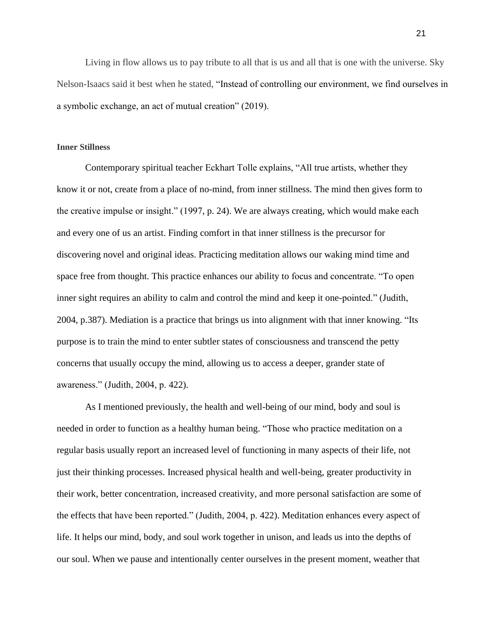Living in flow allows us to pay tribute to all that is us and all that is one with the universe. Sky Nelson-Isaacs said it best when he stated, "Instead of controlling our environment, we find ourselves in a symbolic exchange, an act of mutual creation" (2019).

#### **Inner Stillness**

Contemporary spiritual teacher Eckhart Tolle explains, "All true artists, whether they know it or not, create from a place of no-mind, from inner stillness. The mind then gives form to the creative impulse or insight." (1997, p. 24). We are always creating, which would make each and every one of us an artist. Finding comfort in that inner stillness is the precursor for discovering novel and original ideas. Practicing meditation allows our waking mind time and space free from thought. This practice enhances our ability to focus and concentrate. "To open inner sight requires an ability to calm and control the mind and keep it one-pointed." (Judith, 2004, p.387). Mediation is a practice that brings us into alignment with that inner knowing. "Its purpose is to train the mind to enter subtler states of consciousness and transcend the petty concerns that usually occupy the mind, allowing us to access a deeper, grander state of awareness." (Judith, 2004, p. 422).

As I mentioned previously, the health and well-being of our mind, body and soul is needed in order to function as a healthy human being. "Those who practice meditation on a regular basis usually report an increased level of functioning in many aspects of their life, not just their thinking processes. Increased physical health and well-being, greater productivity in their work, better concentration, increased creativity, and more personal satisfaction are some of the effects that have been reported." (Judith, 2004, p. 422). Meditation enhances every aspect of life. It helps our mind, body, and soul work together in unison, and leads us into the depths of our soul. When we pause and intentionally center ourselves in the present moment, weather that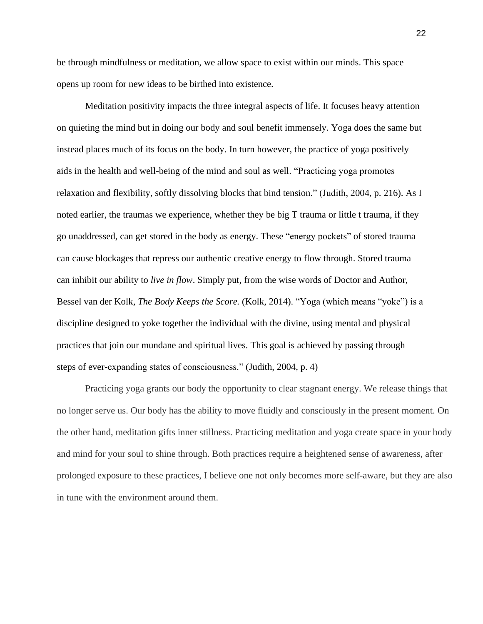be through mindfulness or meditation, we allow space to exist within our minds. This space opens up room for new ideas to be birthed into existence.

Meditation positivity impacts the three integral aspects of life. It focuses heavy attention on quieting the mind but in doing our body and soul benefit immensely. Yoga does the same but instead places much of its focus on the body. In turn however, the practice of yoga positively aids in the health and well-being of the mind and soul as well. "Practicing yoga promotes relaxation and flexibility, softly dissolving blocks that bind tension." (Judith, 2004, p. 216). As I noted earlier, the traumas we experience, whether they be big T trauma or little t trauma, if they go unaddressed, can get stored in the body as energy. These "energy pockets" of stored trauma can cause blockages that repress our authentic creative energy to flow through. Stored trauma can inhibit our ability to *live in flow*. Simply put, from the wise words of Doctor and Author, Bessel van der Kolk, *The Body Keeps the Score.* (Kolk, 2014). "Yoga (which means "yoke") is a discipline designed to yoke together the individual with the divine, using mental and physical practices that join our mundane and spiritual lives. This goal is achieved by passing through steps of ever-expanding states of consciousness." (Judith, 2004, p. 4)

Practicing yoga grants our body the opportunity to clear stagnant energy. We release things that no longer serve us. Our body has the ability to move fluidly and consciously in the present moment. On the other hand, meditation gifts inner stillness. Practicing meditation and yoga create space in your body and mind for your soul to shine through. Both practices require a heightened sense of awareness, after prolonged exposure to these practices, I believe one not only becomes more self-aware, but they are also in tune with the environment around them.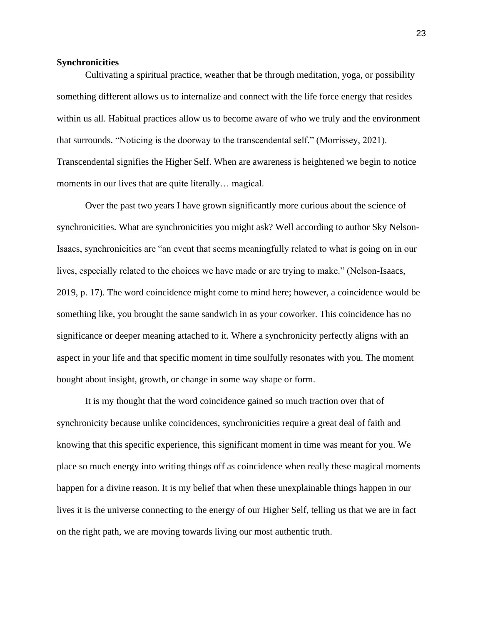#### **Synchronicities**

Cultivating a spiritual practice, weather that be through meditation, yoga, or possibility something different allows us to internalize and connect with the life force energy that resides within us all. Habitual practices allow us to become aware of who we truly and the environment that surrounds. "Noticing is the doorway to the transcendental self." (Morrissey, 2021). Transcendental signifies the Higher Self. When are awareness is heightened we begin to notice moments in our lives that are quite literally... magical.

Over the past two years I have grown significantly more curious about the science of synchronicities. What are synchronicities you might ask? Well according to author Sky Nelson-Isaacs, synchronicities are "an event that seems meaningfully related to what is going on in our lives, especially related to the choices we have made or are trying to make." (Nelson-Isaacs, 2019, p. 17). The word coincidence might come to mind here; however, a coincidence would be something like, you brought the same sandwich in as your coworker. This coincidence has no significance or deeper meaning attached to it. Where a synchronicity perfectly aligns with an aspect in your life and that specific moment in time soulfully resonates with you. The moment bought about insight, growth, or change in some way shape or form.

It is my thought that the word coincidence gained so much traction over that of synchronicity because unlike coincidences, synchronicities require a great deal of faith and knowing that this specific experience, this significant moment in time was meant for you. We place so much energy into writing things off as coincidence when really these magical moments happen for a divine reason. It is my belief that when these unexplainable things happen in our lives it is the universe connecting to the energy of our Higher Self, telling us that we are in fact on the right path, we are moving towards living our most authentic truth.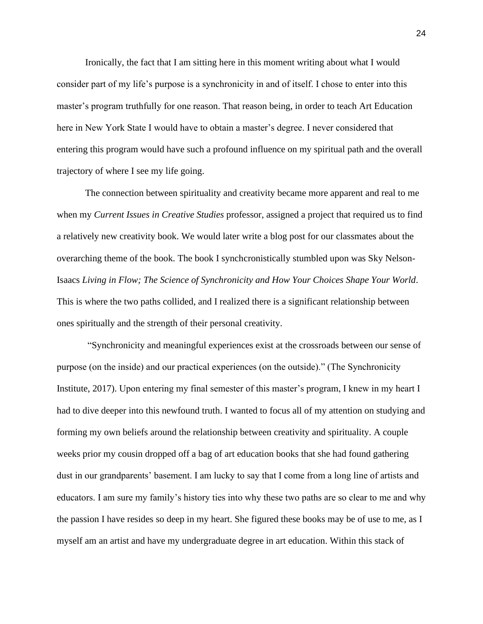Ironically, the fact that I am sitting here in this moment writing about what I would consider part of my life's purpose is a synchronicity in and of itself. I chose to enter into this master's program truthfully for one reason. That reason being, in order to teach Art Education here in New York State I would have to obtain a master's degree. I never considered that entering this program would have such a profound influence on my spiritual path and the overall trajectory of where I see my life going.

The connection between spirituality and creativity became more apparent and real to me when my *Current Issues in Creative Studies* professor, assigned a project that required us to find a relatively new creativity book. We would later write a blog post for our classmates about the overarching theme of the book. The book I synchcronistically stumbled upon was Sky Nelson-Isaacs *Living in Flow; The Science of Synchronicity and How Your Choices Shape Your World*. This is where the two paths collided, and I realized there is a significant relationship between ones spiritually and the strength of their personal creativity.

"Synchronicity and meaningful experiences exist at the crossroads between our sense of purpose (on the inside) and our practical experiences (on the outside)." (The Synchronicity Institute, 2017). Upon entering my final semester of this master's program, I knew in my heart I had to dive deeper into this newfound truth. I wanted to focus all of my attention on studying and forming my own beliefs around the relationship between creativity and spirituality. A couple weeks prior my cousin dropped off a bag of art education books that she had found gathering dust in our grandparents' basement. I am lucky to say that I come from a long line of artists and educators. I am sure my family's history ties into why these two paths are so clear to me and why the passion I have resides so deep in my heart. She figured these books may be of use to me, as I myself am an artist and have my undergraduate degree in art education. Within this stack of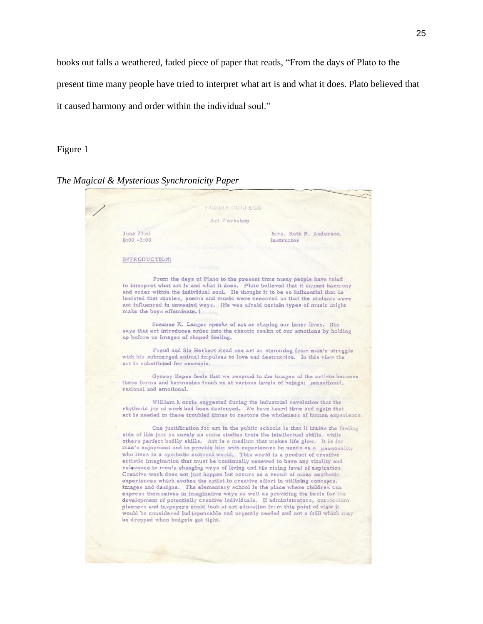books out falls a weathered, faded piece of paper that reads, "From the days of Plato to the

present time many people have tried to interpret what art is and what it does. Plato believed that

it caused harmony and order within the individual soul."

## Figure 1

*The Magical & Mysterious Synchronicity Paper*

**ELMIRA COLLEGE** Art Workshop June 23rd Mrs. Ruth B. Anderson.  $8:00 - 3:00$ Instructor INTRCDUCTION: From the days of Plato to the present time many people have tried to interpret what art is and what it does. Plato believed that it caused harmony and order within the individual soul. He thought it to be so influential that he insisted that stories, poems and music were censored so that the students were not influenced in unwanted ways. (He was afraid certain types of music might make the boys effeminate.) Susanne K. Langer speeks of art as shaping our inner lives. She says that art introduces order into the chaotic realm of our emotions by holding up before us images of shaped feeling. Freud and Sir Herbert Read see art as stemming from man's struggle with his submerged animal impulses to love and destruction. In this view the art is substituted for neurosis. Gyoray Kepes feels that we respond to the images of the artists because these forms and harmonies touch us at various levels of beings: sensational, rational and emotional. William Morris suggested during the industrial revolution that the rhythmic joy of work had been destroyed. We have heard time and again that art is needed in these troubled times to restore the wholeness of human experience. Cne justification for art in the public schools is that it trains the feeling side of life just as surely as some studies train the intellectual skills, while others perfect bodily skills. Art is a medium that makes life glow. It is for man's enjoyment and to provide him with experiences he needs as a personality who lives in a symbolic cultural world. This world is a product of creative artistic imagination that must be continually renewed to have any vitality and relevance to man's changing ways of living and his rising level of aspiration. Creative work does not just happen but occurs as a result of many aesthetic experiences which evokes the artist to creative effort in utilizing concepts, images and designs. The elementary school is the place where children can express them selves in imaginative ways as well as providing the basis for the development of potentially creative individuals. If administrators, curriculum planners and taxpayers could look at art education from this point of view it would be considered indispensable and urgently needed and not a frill which may be dropped when budgets get tight.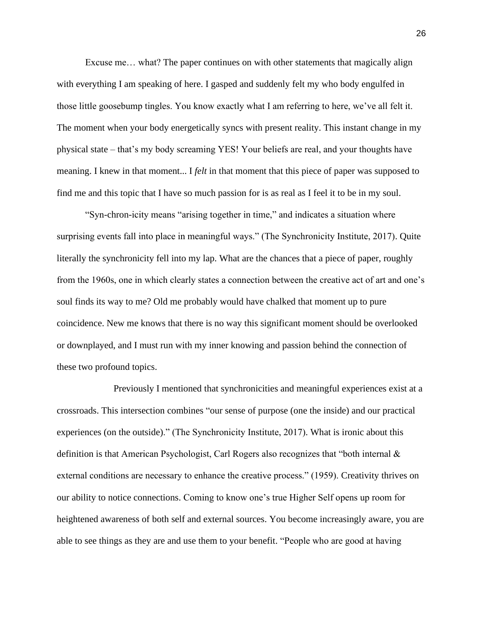Excuse me… what? The paper continues on with other statements that magically align with everything I am speaking of here. I gasped and suddenly felt my who body engulfed in those little goosebump tingles. You know exactly what I am referring to here, we've all felt it. The moment when your body energetically syncs with present reality. This instant change in my physical state – that's my body screaming YES! Your beliefs are real, and your thoughts have meaning. I knew in that moment... I *felt* in that moment that this piece of paper was supposed to find me and this topic that I have so much passion for is as real as I feel it to be in my soul.

"Syn-chron-icity means "arising together in time," and indicates a situation where surprising events fall into place in meaningful ways." (The Synchronicity Institute, 2017). Quite literally the synchronicity fell into my lap. What are the chances that a piece of paper, roughly from the 1960s, one in which clearly states a connection between the creative act of art and one's soul finds its way to me? Old me probably would have chalked that moment up to pure coincidence. New me knows that there is no way this significant moment should be overlooked or downplayed, and I must run with my inner knowing and passion behind the connection of these two profound topics.

Previously I mentioned that synchronicities and meaningful experiences exist at a crossroads. This intersection combines "our sense of purpose (one the inside) and our practical experiences (on the outside)." (The Synchronicity Institute, 2017). What is ironic about this definition is that American Psychologist, Carl Rogers also recognizes that "both internal & external conditions are necessary to enhance the creative process." (1959). Creativity thrives on our ability to notice connections. Coming to know one's true Higher Self opens up room for heightened awareness of both self and external sources. You become increasingly aware, you are able to see things as they are and use them to your benefit. "People who are good at having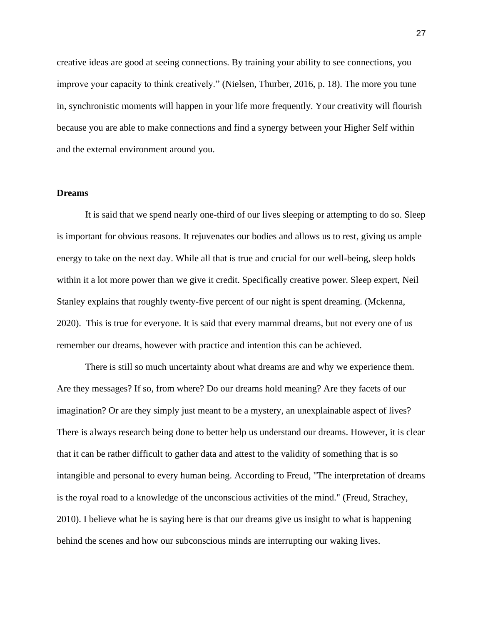creative ideas are good at seeing connections. By training your ability to see connections, you improve your capacity to think creatively." (Nielsen, Thurber, 2016, p. 18). The more you tune in, synchronistic moments will happen in your life more frequently. Your creativity will flourish because you are able to make connections and find a synergy between your Higher Self within and the external environment around you.

### **Dreams**

It is said that we spend nearly one-third of our lives sleeping or attempting to do so. Sleep is important for obvious reasons. It rejuvenates our bodies and allows us to rest, giving us ample energy to take on the next day. While all that is true and crucial for our well-being, sleep holds within it a lot more power than we give it credit. Specifically creative power. Sleep expert, Neil Stanley explains that roughly twenty-five percent of our night is spent dreaming. (Mckenna, 2020). This is true for everyone. It is said that every mammal dreams, but not every one of us remember our dreams, however with practice and intention this can be achieved.

There is still so much uncertainty about what dreams are and why we experience them. Are they messages? If so, from where? Do our dreams hold meaning? Are they facets of our imagination? Or are they simply just meant to be a mystery, an unexplainable aspect of lives? There is always research being done to better help us understand our dreams. However, it is clear that it can be rather difficult to gather data and attest to the validity of something that is so intangible and personal to every human being. According to Freud, "The interpretation of dreams is the royal road to a knowledge of the unconscious activities of the mind." (Freud, Strachey, 2010). I believe what he is saying here is that our dreams give us insight to what is happening behind the scenes and how our subconscious minds are interrupting our waking lives.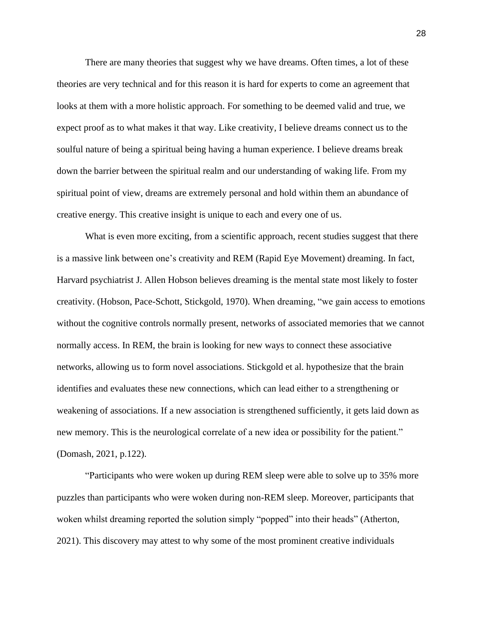There are many theories that suggest why we have dreams. Often times, a lot of these theories are very technical and for this reason it is hard for experts to come an agreement that looks at them with a more holistic approach. For something to be deemed valid and true, we expect proof as to what makes it that way. Like creativity, I believe dreams connect us to the soulful nature of being a spiritual being having a human experience. I believe dreams break down the barrier between the spiritual realm and our understanding of waking life. From my spiritual point of view, dreams are extremely personal and hold within them an abundance of creative energy. This creative insight is unique to each and every one of us.

What is even more exciting, from a scientific approach, recent studies suggest that there is a massive link between one's creativity and REM (Rapid Eye Movement) dreaming. In fact, Harvard psychiatrist J. Allen Hobson believes dreaming is the mental state most likely to foster creativity. (Hobson, Pace-Schott, Stickgold, 1970). When dreaming, "we gain access to emotions without the cognitive controls normally present, networks of associated memories that we cannot normally access. In REM, the brain is looking for new ways to connect these associative networks, allowing us to form novel associations. Stickgold et al. hypothesize that the brain identifies and evaluates these new connections, which can lead either to a strengthening or weakening of associations. If a new association is strengthened sufficiently, it gets laid down as new memory. This is the neurological correlate of a new idea or possibility for the patient." (Domash, 2021, p.122).

"Participants who were woken up during REM sleep were able to solve up to 35% more puzzles than participants who were woken during non-REM sleep. Moreover, participants that woken whilst dreaming reported the solution simply "popped" into their heads" (Atherton, 2021). This discovery may attest to why some of the most prominent creative individuals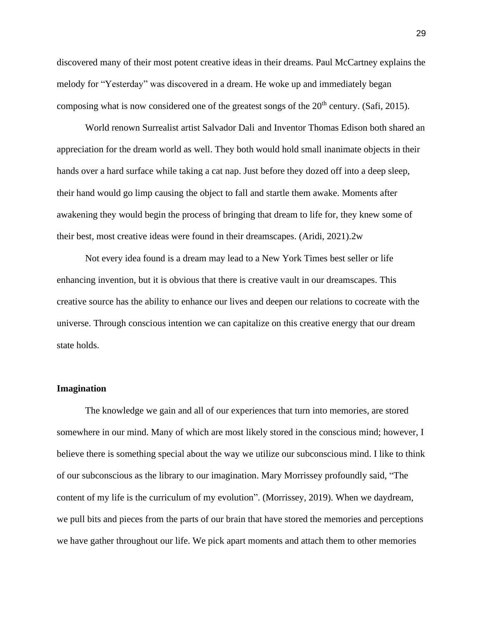discovered many of their most potent creative ideas in their dreams. Paul McCartney explains the melody for "Yesterday" was discovered in a dream. He woke up and immediately began composing what is now considered one of the greatest songs of the  $20<sup>th</sup>$  century. (Safi, 2015).

World renown Surrealist artist Salvador Dali and Inventor Thomas Edison both shared an appreciation for the dream world as well. They both would hold small inanimate objects in their hands over a hard surface while taking a cat nap. Just before they dozed off into a deep sleep, their hand would go limp causing the object to fall and startle them awake. Moments after awakening they would begin the process of bringing that dream to life for, they knew some of their best, most creative ideas were found in their dreamscapes. (Aridi, 2021).2w

Not every idea found is a dream may lead to a New York Times best seller or life enhancing invention, but it is obvious that there is creative vault in our dreamscapes. This creative source has the ability to enhance our lives and deepen our relations to cocreate with the universe. Through conscious intention we can capitalize on this creative energy that our dream state holds.

#### **Imagination**

The knowledge we gain and all of our experiences that turn into memories, are stored somewhere in our mind. Many of which are most likely stored in the conscious mind; however, I believe there is something special about the way we utilize our subconscious mind. I like to think of our subconscious as the library to our imagination. Mary Morrissey profoundly said, "The content of my life is the curriculum of my evolution". (Morrissey, 2019). When we daydream, we pull bits and pieces from the parts of our brain that have stored the memories and perceptions we have gather throughout our life. We pick apart moments and attach them to other memories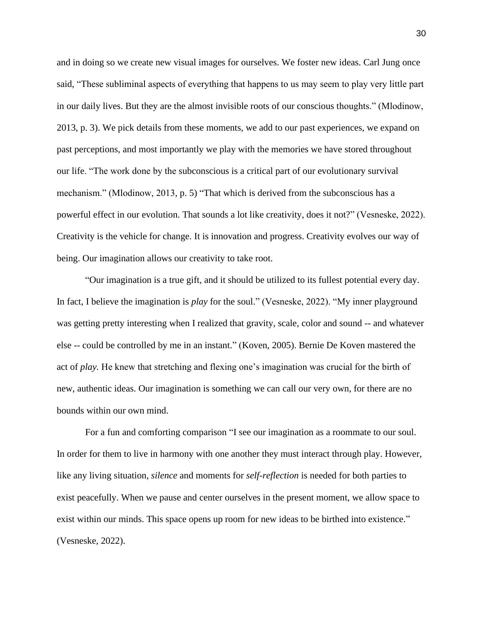and in doing so we create new visual images for ourselves. We foster new ideas. Carl Jung once said, "These subliminal aspects of everything that happens to us may seem to play very little part in our daily lives. But they are the almost invisible roots of our conscious thoughts." (Mlodinow, 2013, p. 3). We pick details from these moments, we add to our past experiences, we expand on past perceptions, and most importantly we play with the memories we have stored throughout our life. "The work done by the subconscious is a critical part of our evolutionary survival mechanism." (Mlodinow, 2013, p. 5) "That which is derived from the subconscious has a powerful effect in our evolution. That sounds a lot like creativity, does it not?" (Vesneske, 2022). Creativity is the vehicle for change. It is innovation and progress. Creativity evolves our way of being. Our imagination allows our creativity to take root.

"Our imagination is a true gift, and it should be utilized to its fullest potential every day. In fact, I believe the imagination is *play* for the soul." (Vesneske, 2022). "My inner playground was getting pretty interesting when I realized that gravity, scale, color and sound -- and whatever else -- could be controlled by me in an instant." (Koven, 2005). Bernie De Koven mastered the act of *play.* He knew that stretching and flexing one's imagination was crucial for the birth of new, authentic ideas. Our imagination is something we can call our very own, for there are no bounds within our own mind.

For a fun and comforting comparison "I see our imagination as a roommate to our soul. In order for them to live in harmony with one another they must interact through play. However, like any living situation, *silence* and moments for *self-reflection* is needed for both parties to exist peacefully. When we pause and center ourselves in the present moment, we allow space to exist within our minds. This space opens up room for new ideas to be birthed into existence." (Vesneske, 2022).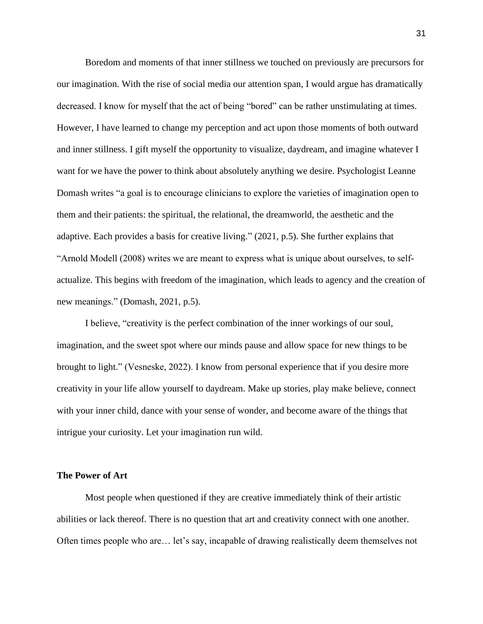Boredom and moments of that inner stillness we touched on previously are precursors for our imagination. With the rise of social media our attention span, I would argue has dramatically decreased. I know for myself that the act of being "bored" can be rather unstimulating at times. However, I have learned to change my perception and act upon those moments of both outward and inner stillness. I gift myself the opportunity to visualize, daydream, and imagine whatever I want for we have the power to think about absolutely anything we desire. Psychologist Leanne Domash writes "a goal is to encourage clinicians to explore the varieties of imagination open to them and their patients: the spiritual, the relational, the dreamworld, the aesthetic and the adaptive. Each provides a basis for creative living." (2021, p.5). She further explains that "Arnold Modell (2008) writes we are meant to express what is unique about ourselves, to selfactualize. This begins with freedom of the imagination, which leads to agency and the creation of new meanings." (Domash, 2021, p.5).

I believe, "creativity is the perfect combination of the inner workings of our soul, imagination, and the sweet spot where our minds pause and allow space for new things to be brought to light." (Vesneske, 2022). I know from personal experience that if you desire more creativity in your life allow yourself to daydream. Make up stories, play make believe, connect with your inner child, dance with your sense of wonder, and become aware of the things that intrigue your curiosity. Let your imagination run wild.

## **The Power of Art**

Most people when questioned if they are creative immediately think of their artistic abilities or lack thereof. There is no question that art and creativity connect with one another. Often times people who are… let's say, incapable of drawing realistically deem themselves not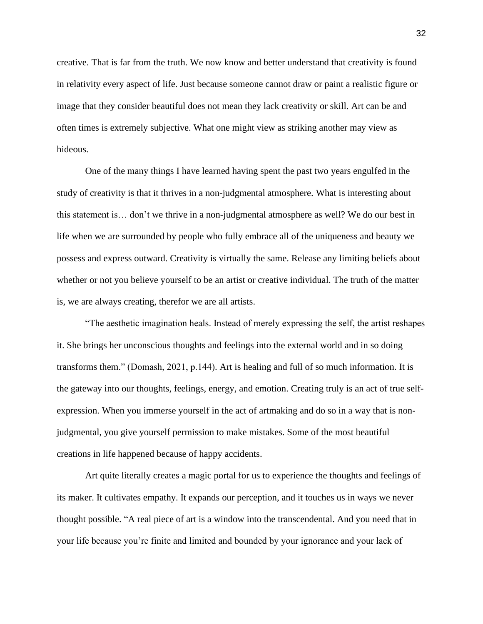creative. That is far from the truth. We now know and better understand that creativity is found in relativity every aspect of life. Just because someone cannot draw or paint a realistic figure or image that they consider beautiful does not mean they lack creativity or skill. Art can be and often times is extremely subjective. What one might view as striking another may view as hideous.

One of the many things I have learned having spent the past two years engulfed in the study of creativity is that it thrives in a non-judgmental atmosphere. What is interesting about this statement is… don't we thrive in a non-judgmental atmosphere as well? We do our best in life when we are surrounded by people who fully embrace all of the uniqueness and beauty we possess and express outward. Creativity is virtually the same. Release any limiting beliefs about whether or not you believe yourself to be an artist or creative individual. The truth of the matter is, we are always creating, therefor we are all artists.

"The aesthetic imagination heals. Instead of merely expressing the self, the artist reshapes it. She brings her unconscious thoughts and feelings into the external world and in so doing transforms them." (Domash, 2021, p.144). Art is healing and full of so much information. It is the gateway into our thoughts, feelings, energy, and emotion. Creating truly is an act of true selfexpression. When you immerse yourself in the act of artmaking and do so in a way that is nonjudgmental, you give yourself permission to make mistakes. Some of the most beautiful creations in life happened because of happy accidents.

Art quite literally creates a magic portal for us to experience the thoughts and feelings of its maker. It cultivates empathy. It expands our perception, and it touches us in ways we never thought possible. "A real piece of art is a window into the transcendental. And you need that in your life because you're finite and limited and bounded by your ignorance and your lack of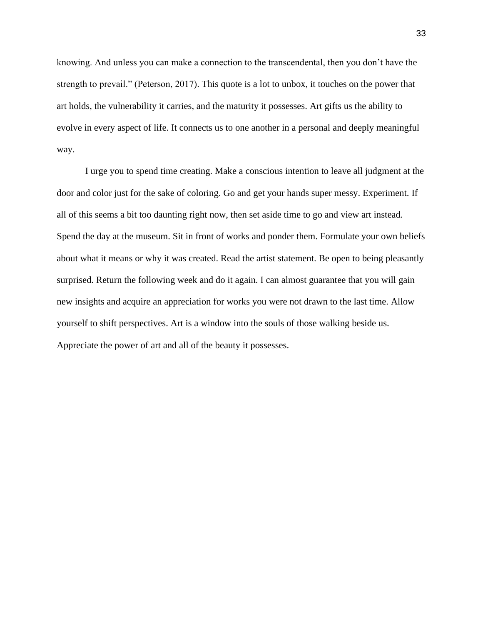knowing. And unless you can make a connection to the transcendental, then you don't have the strength to prevail." (Peterson, 2017). This quote is a lot to unbox, it touches on the power that art holds, the vulnerability it carries, and the maturity it possesses. Art gifts us the ability to evolve in every aspect of life. It connects us to one another in a personal and deeply meaningful way.

I urge you to spend time creating. Make a conscious intention to leave all judgment at the door and color just for the sake of coloring. Go and get your hands super messy. Experiment. If all of this seems a bit too daunting right now, then set aside time to go and view art instead. Spend the day at the museum. Sit in front of works and ponder them. Formulate your own beliefs about what it means or why it was created. Read the artist statement. Be open to being pleasantly surprised. Return the following week and do it again. I can almost guarantee that you will gain new insights and acquire an appreciation for works you were not drawn to the last time. Allow yourself to shift perspectives. Art is a window into the souls of those walking beside us. Appreciate the power of art and all of the beauty it possesses.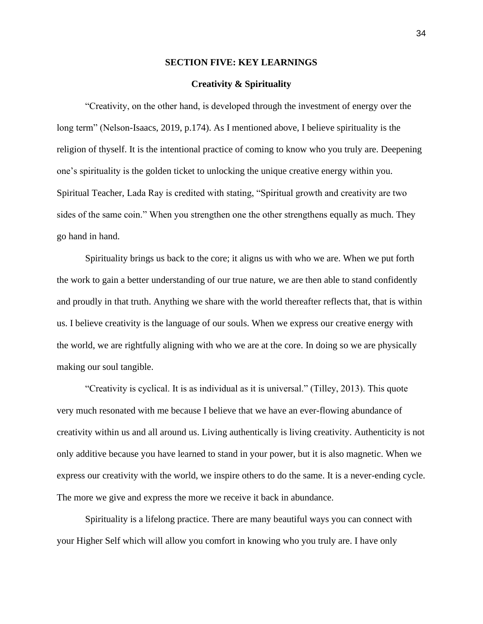#### **SECTION FIVE: KEY LEARNINGS**

## **Creativity & Spirituality**

"Creativity, on the other hand, is developed through the investment of energy over the long term" (Nelson-Isaacs, 2019, p.174). As I mentioned above, I believe spirituality is the religion of thyself. It is the intentional practice of coming to know who you truly are. Deepening one's spirituality is the golden ticket to unlocking the unique creative energy within you. Spiritual Teacher, Lada Ray is credited with stating, "Spiritual growth and creativity are two sides of the same coin." When you strengthen one the other strengthens equally as much. They go hand in hand.

Spirituality brings us back to the core; it aligns us with who we are. When we put forth the work to gain a better understanding of our true nature, we are then able to stand confidently and proudly in that truth. Anything we share with the world thereafter reflects that, that is within us. I believe creativity is the language of our souls. When we express our creative energy with the world, we are rightfully aligning with who we are at the core. In doing so we are physically making our soul tangible.

"Creativity is cyclical. It is as individual as it is universal." (Tilley, 2013). This quote very much resonated with me because I believe that we have an ever-flowing abundance of creativity within us and all around us. Living authentically is living creativity. Authenticity is not only additive because you have learned to stand in your power, but it is also magnetic. When we express our creativity with the world, we inspire others to do the same. It is a never-ending cycle. The more we give and express the more we receive it back in abundance.

Spirituality is a lifelong practice. There are many beautiful ways you can connect with your Higher Self which will allow you comfort in knowing who you truly are. I have only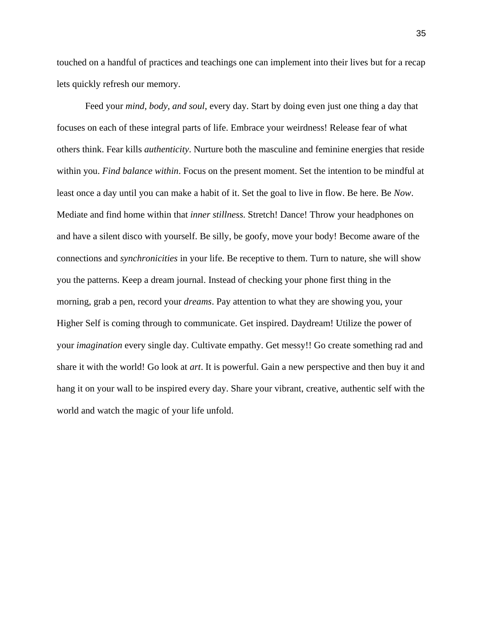touched on a handful of practices and teachings one can implement into their lives but for a recap lets quickly refresh our memory.

Feed your *mind, body, and soul*, every day. Start by doing even just one thing a day that focuses on each of these integral parts of life. Embrace your weirdness! Release fear of what others think. Fear kills *authenticity*. Nurture both the masculine and feminine energies that reside within you. *Find balance within*. Focus on the present moment. Set the intention to be mindful at least once a day until you can make a habit of it. Set the goal to live in flow. Be here. Be *Now*. Mediate and find home within that *inner stillness*. Stretch! Dance! Throw your headphones on and have a silent disco with yourself. Be silly, be goofy, move your body! Become aware of the connections and *synchronicities* in your life. Be receptive to them. Turn to nature, she will show you the patterns. Keep a dream journal. Instead of checking your phone first thing in the morning, grab a pen, record your *dreams*. Pay attention to what they are showing you, your Higher Self is coming through to communicate. Get inspired. Daydream! Utilize the power of your *imagination* every single day. Cultivate empathy. Get messy!! Go create something rad and share it with the world! Go look at *art*. It is powerful. Gain a new perspective and then buy it and hang it on your wall to be inspired every day. Share your vibrant, creative, authentic self with the world and watch the magic of your life unfold.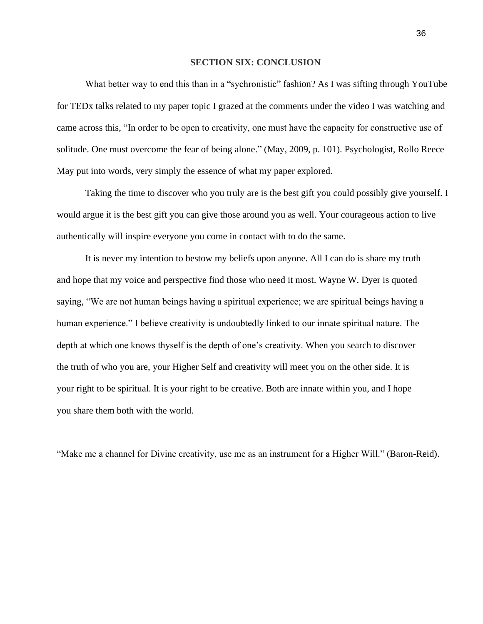#### **SECTION SIX: CONCLUSION**

What better way to end this than in a "sychronistic" fashion? As I was sifting through YouTube for TEDx talks related to my paper topic I grazed at the comments under the video I was watching and came across this, "In order to be open to creativity, one must have the capacity for constructive use of solitude. One must overcome the fear of being alone." (May, 2009, p. 101). Psychologist, Rollo Reece May put into words, very simply the essence of what my paper explored.

Taking the time to discover who you truly are is the best gift you could possibly give yourself. I would argue it is the best gift you can give those around you as well. Your courageous action to live authentically will inspire everyone you come in contact with to do the same.

It is never my intention to bestow my beliefs upon anyone. All I can do is share my truth and hope that my voice and perspective find those who need it most. Wayne W. Dyer is quoted saying, "We are not human beings having a spiritual experience; we are spiritual beings having a human experience." I believe creativity is undoubtedly linked to our innate spiritual nature. The depth at which one knows thyself is the depth of one's creativity. When you search to discover the truth of who you are, your Higher Self and creativity will meet you on the other side. It is your right to be spiritual. It is your right to be creative. Both are innate within you, and I hope you share them both with the world.

"Make me a channel for Divine creativity, use me as an instrument for a Higher Will." (Baron-Reid).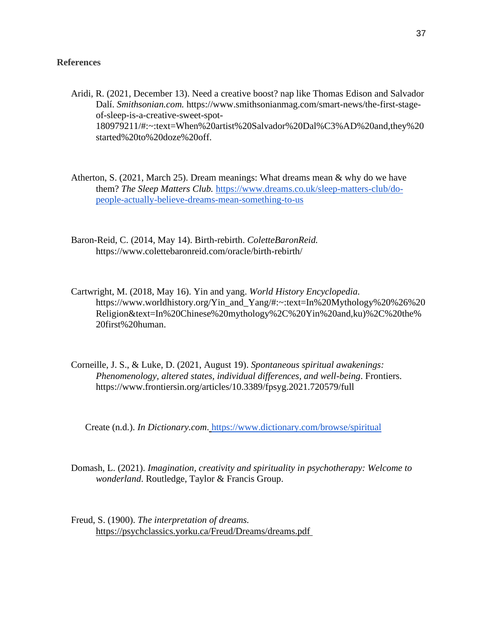# **References**

- Aridi, R. (2021, December 13). Need a creative boost? nap like Thomas Edison and Salvador Dalí. *Smithsonian.com.* https://www.smithsonianmag.com/smart-news/the-first-stageof-sleep-is-a-creative-sweet-spot-180979211/#:~:text=When%20artist%20Salvador%20Dal%C3%AD%20and,they%20 started%20to%20doze%20off.
- Atherton, S. (2021, March 25). Dream meanings: What dreams mean & why do we have them? *The Sleep Matters Club.* [https://www.dreams.co.uk/sleep-matters-club/do](https://www.dreams.co.uk/sleep-matters-club/do-people-actually-believe-dreams-mean-something-to-us)[people-actually-believe-dreams-mean-something-to-us](https://www.dreams.co.uk/sleep-matters-club/do-people-actually-believe-dreams-mean-something-to-us)
- Baron-Reid, C. (2014, May 14). Birth-rebirth. *ColetteBaronReid.* https://www.colettebaronreid.com/oracle/birth-rebirth/
- Cartwright, M. (2018, May 16). Yin and yang. *World History Encyclopedia.* https://www.worldhistory.org/Yin\_and\_Yang/#:~:text=In%20Mythology%20%26%20 Religion&text=In%20Chinese%20mythology%2C%20Yin%20and,ku)%2C%20the% 20first%20human.
- Corneille, J. S., & Luke, D. (2021, August 19). *Spontaneous spiritual awakenings: Phenomenology, altered states, individual differences, and well-being*. Frontiers. https://www.frontiersin.org/articles/10.3389/fpsyg.2021.720579/full

Create (n.d.). *In Dictionary.com*. <https://www.dictionary.com/browse/spiritual>

- Domash, L. (2021). *Imagination, creativity and spirituality in psychotherapy: Welcome to wonderland*. Routledge, Taylor & Francis Group.
- Freud, S. (1900). *The interpretation of dreams.* https://psychclassics.yorku.ca/Freud/Dreams/dreams.pdf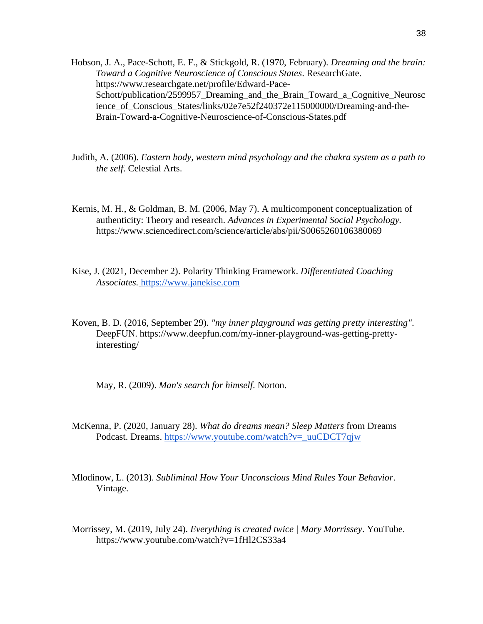Hobson, J. A., Pace-Schott, E. F., & Stickgold, R. (1970, February). *Dreaming and the brain: Toward a Cognitive Neuroscience of Conscious States*. ResearchGate. https://www.researchgate.net/profile/Edward-Pace-Schott/publication/2599957\_Dreaming\_and\_the\_Brain\_Toward\_a\_Cognitive\_Neurosc ience\_of\_Conscious\_States/links/02e7e52f240372e115000000/Dreaming-and-the-Brain-Toward-a-Cognitive-Neuroscience-of-Conscious-States.pdf

- Judith, A. (2006). *Eastern body, western mind psychology and the chakra system as a path to the self*. Celestial Arts.
- Kernis, M. H., & Goldman, B. M. (2006, May 7). A multicomponent conceptualization of authenticity: Theory and research. *Advances in Experimental Social Psychology.* https://www.sciencedirect.com/science/article/abs/pii/S0065260106380069
- Kise, J. (2021, December 2). Polarity Thinking Framework. *Differentiated Coaching Associates.* [https://www.janekise.com](https://www.janekise.com/)
- Koven, B. D. (2016, September 29). *"my inner playground was getting pretty interesting"*. DeepFUN. https://www.deepfun.com/my-inner-playground-was-getting-prettyinteresting/

May, R. (2009). *Man's search for himself*. Norton.

- McKenna, P. (2020, January 28). *What do dreams mean? Sleep Matters* from Dreams Podcast. Dreams. [https://www.youtube.com/watch?v=\\_uuCDCT7qjw](https://www.youtube.com/watch?v=_uuCDCT7qjw)
- Mlodinow, L. (2013). *Subliminal How Your Unconscious Mind Rules Your Behavior*. Vintage.
- Morrissey, M. (2019, July 24). *Everything is created twice | Mary Morrissey*. YouTube. https://www.youtube.com/watch?v=1fHl2CS33a4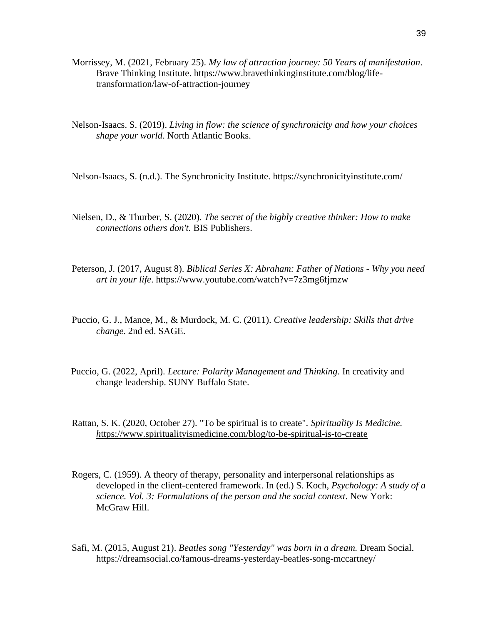- Morrissey, M. (2021, February 25). *My law of attraction journey: 50 Years of manifestation*. Brave Thinking Institute. https://www.bravethinkinginstitute.com/blog/lifetransformation/law-of-attraction-journey
- Nelson-Isaacs. S. (2019). *Living in flow: the science of synchronicity and how your choices shape your world*. North Atlantic Books.

Nelson-Isaacs, S. (n.d.). The Synchronicity Institute. https://synchronicityinstitute.com/

- Nielsen, D., & Thurber, S. (2020). *The secret of the highly creative thinker: How to make connections others don't.* BIS Publishers.
- Peterson, J. (2017, August 8). *Biblical Series X: Abraham: Father of Nations - Why you need art in your life*. https://www.youtube.com/watch?v=7z3mg6fjmzw
- Puccio, G. J., Mance, M., & Murdock, M. C. (2011). *Creative leadership: Skills that drive change*. 2nd ed. SAGE.
- Puccio, G. (2022, April). *Lecture: Polarity Management and Thinking*. In creativity and change leadership. SUNY Buffalo State.
- Rattan, S. K. (2020, October 27). "To be spiritual is to create". *Spirituality Is Medicine. h*[ttps://www.spiritualityismedicine.com/blog/to-be-spiritual-is-to-create](https://www.spiritualityismedicine.com/blog/to-be-spiritual-is-to-create)
- Rogers, C. (1959). A theory of therapy, personality and interpersonal relationships as developed in the client-centered framework. In (ed.) S. Koch, *Psychology: A study of a science. Vol. 3: Formulations of the person and the social context*. New York: McGraw Hill.
- Safi, M. (2015, August 21). *Beatles song "Yesterday" was born in a dream.* Dream Social. https://dreamsocial.co/famous-dreams-yesterday-beatles-song-mccartney/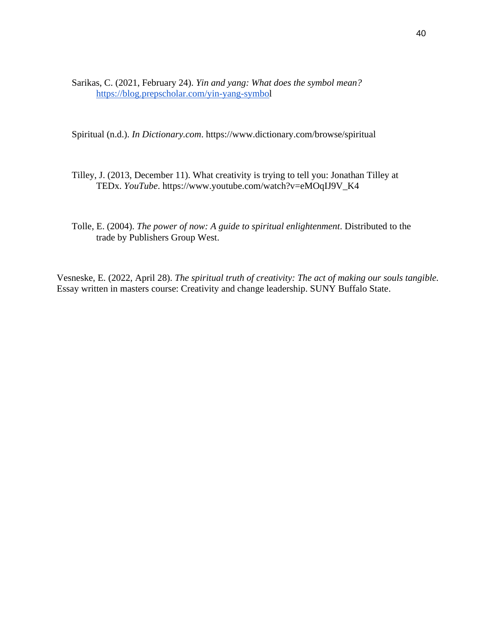Sarikas, C. (2021, February 24). *Yin and yang: What does the symbol mean?* <https://blog.prepscholar.com/yin-yang-symbol>

Spiritual (n.d.). *In Dictionary.com*. https://www.dictionary.com/browse/spiritual

- Tilley, J. (2013, December 11). What creativity is trying to tell you: Jonathan Tilley at TEDx. *YouTube*. https://www.youtube.com/watch?v=eMOqIJ9V\_K4
- Tolle, E. (2004). *The power of now: A guide to spiritual enlightenment*. Distributed to the trade by Publishers Group West.

Vesneske, E. (2022, April 28). *The spiritual truth of creativity: The act of making our souls tangible.* Essay written in masters course: Creativity and change leadership. SUNY Buffalo State.